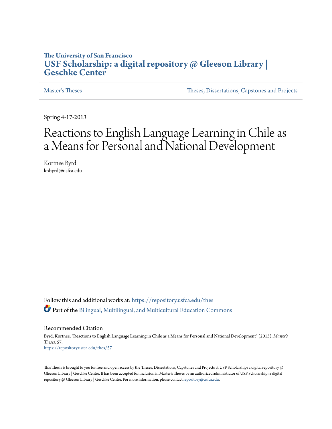# **The University of San Francisco [USF Scholarship: a digital repository @ Gleeson Library |](https://repository.usfca.edu?utm_source=repository.usfca.edu%2Fthes%2F57&utm_medium=PDF&utm_campaign=PDFCoverPages) [Geschke Center](https://repository.usfca.edu?utm_source=repository.usfca.edu%2Fthes%2F57&utm_medium=PDF&utm_campaign=PDFCoverPages)**

[Master's Theses](https://repository.usfca.edu/thes?utm_source=repository.usfca.edu%2Fthes%2F57&utm_medium=PDF&utm_campaign=PDFCoverPages) [Theses, Dissertations, Capstones and Projects](https://repository.usfca.edu/etd?utm_source=repository.usfca.edu%2Fthes%2F57&utm_medium=PDF&utm_campaign=PDFCoverPages)

Spring 4-17-2013

# Reactions to English Language Learning in Chile as a Means for Personal and National Development

Kortnee Byrd knbyrd@usfca.edu

Follow this and additional works at: [https://repository.usfca.edu/thes](https://repository.usfca.edu/thes?utm_source=repository.usfca.edu%2Fthes%2F57&utm_medium=PDF&utm_campaign=PDFCoverPages) Part of the [Bilingual, Multilingual, and Multicultural Education Commons](http://network.bepress.com/hgg/discipline/785?utm_source=repository.usfca.edu%2Fthes%2F57&utm_medium=PDF&utm_campaign=PDFCoverPages)

#### Recommended Citation

Byrd, Kortnee, "Reactions to English Language Learning in Chile as a Means for Personal and National Development" (2013). *Master's Theses*. 57. [https://repository.usfca.edu/thes/57](https://repository.usfca.edu/thes/57?utm_source=repository.usfca.edu%2Fthes%2F57&utm_medium=PDF&utm_campaign=PDFCoverPages)

This Thesis is brought to you for free and open access by the Theses, Dissertations, Capstones and Projects at USF Scholarship: a digital repository @ Gleeson Library | Geschke Center. It has been accepted for inclusion in Master's Theses by an authorized administrator of USF Scholarship: a digital repository @ Gleeson Library | Geschke Center. For more information, please contact [repository@usfca.edu.](mailto:repository@usfca.edu)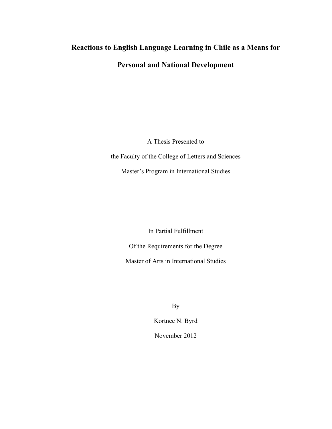# **Reactions to English Language Learning in Chile as a Means for Personal and National Development**

A Thesis Presented to the Faculty of the College of Letters and Sciences Master's Program in International Studies

In Partial Fulfillment

Of the Requirements for the Degree

Master of Arts in International Studies

By

Kortnee N. Byrd November 2012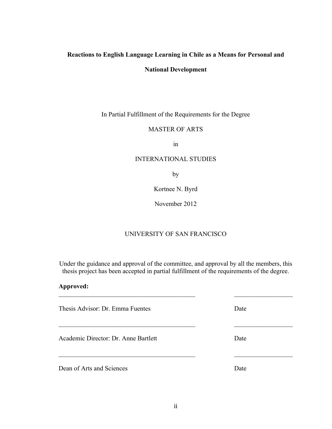# **Reactions to English Language Learning in Chile as a Means for Personal and**

## **National Development**

In Partial Fulfillment of the Requirements for the Degree

# MASTER OF ARTS

in

# INTERNATIONAL STUDIES

by

Kortnee N. Byrd

November 2012

# UNIVERSITY OF SAN FRANCISCO

Under the guidance and approval of the committee, and approval by all the members, this thesis project has been accepted in partial fulfillment of the requirements of the degree.

 $\mathcal{L}_\text{max}$  , and the contribution of the contribution of the contribution of the contribution of the contribution of the contribution of the contribution of the contribution of the contribution of the contribution of t

 $\mathcal{L}_\text{max}$  , and the contribution of the contribution of the contribution of the contribution of the contribution of the contribution of the contribution of the contribution of the contribution of the contribution of t

## **Approved:**

Thesis Advisor: Dr. Emma Fuentes Date

Academic Director: Dr. Anne Bartlett Date

Dean of Arts and Sciences Date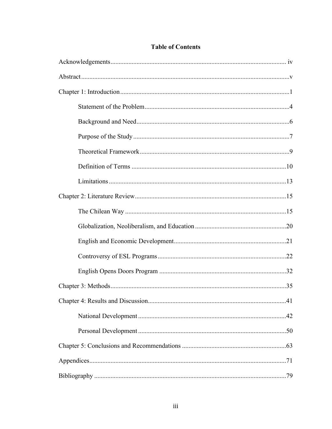# **Table of Contents**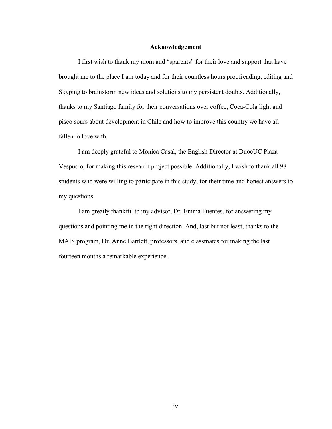#### **Acknowledgement**

I first wish to thank my mom and "sparents" for their love and support that have brought me to the place I am today and for their countless hours proofreading, editing and Skyping to brainstorm new ideas and solutions to my persistent doubts. Additionally, thanks to my Santiago family for their conversations over coffee, Coca-Cola light and pisco sours about development in Chile and how to improve this country we have all fallen in love with.

I am deeply grateful to Monica Casal, the English Director at DuocUC Plaza Vespucio, for making this research project possible. Additionally, I wish to thank all 98 students who were willing to participate in this study, for their time and honest answers to my questions.

I am greatly thankful to my advisor, Dr. Emma Fuentes, for answering my questions and pointing me in the right direction. And, last but not least, thanks to the MAIS program, Dr. Anne Bartlett, professors, and classmates for making the last fourteen months a remarkable experience.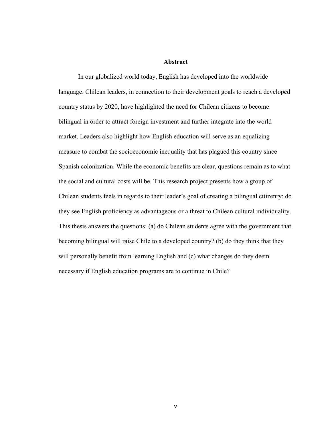#### **Abstract**

In our globalized world today, English has developed into the worldwide language. Chilean leaders, in connection to their development goals to reach a developed country status by 2020, have highlighted the need for Chilean citizens to become bilingual in order to attract foreign investment and further integrate into the world market. Leaders also highlight how English education will serve as an equalizing measure to combat the socioeconomic inequality that has plagued this country since Spanish colonization. While the economic benefits are clear, questions remain as to what the social and cultural costs will be. This research project presents how a group of Chilean students feels in regards to their leader's goal of creating a bilingual citizenry: do they see English proficiency as advantageous or a threat to Chilean cultural individuality. This thesis answers the questions: (a) do Chilean students agree with the government that becoming bilingual will raise Chile to a developed country? (b) do they think that they will personally benefit from learning English and (c) what changes do they deem necessary if English education programs are to continue in Chile?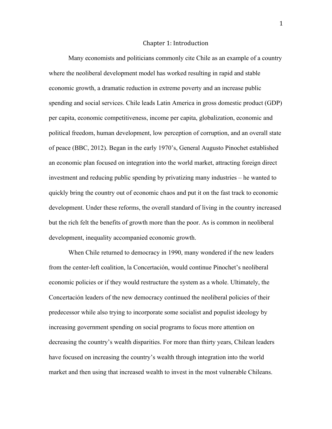#### Chapter
1:
Introduction

Many economists and politicians commonly cite Chile as an example of a country where the neoliberal development model has worked resulting in rapid and stable economic growth, a dramatic reduction in extreme poverty and an increase public spending and social services. Chile leads Latin America in gross domestic product (GDP) per capita, economic competitiveness, income per capita, globalization, economic and political freedom, human development, low perception of corruption, and an overall state of peace (BBC, 2012). Began in the early 1970's, General Augusto Pinochet established an economic plan focused on integration into the world market, attracting foreign direct investment and reducing public spending by privatizing many industries – he wanted to quickly bring the country out of economic chaos and put it on the fast track to economic development. Under these reforms, the overall standard of living in the country increased but the rich felt the benefits of growth more than the poor. As is common in neoliberal development, inequality accompanied economic growth.

When Chile returned to democracy in 1990, many wondered if the new leaders from the center-left coalition, la Concertación, would continue Pinochet's neoliberal economic policies or if they would restructure the system as a whole. Ultimately, the Concertación leaders of the new democracy continued the neoliberal policies of their predecessor while also trying to incorporate some socialist and populist ideology by increasing government spending on social programs to focus more attention on decreasing the country's wealth disparities. For more than thirty years, Chilean leaders have focused on increasing the country's wealth through integration into the world market and then using that increased wealth to invest in the most vulnerable Chileans.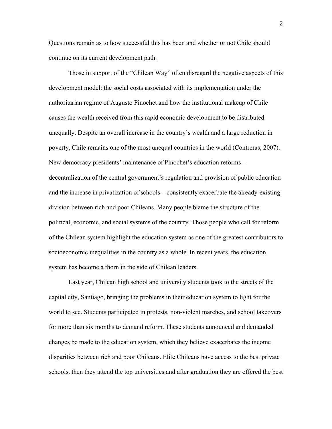Questions remain as to how successful this has been and whether or not Chile should continue on its current development path.

Those in support of the "Chilean Way" often disregard the negative aspects of this development model: the social costs associated with its implementation under the authoritarian regime of Augusto Pinochet and how the institutional makeup of Chile causes the wealth received from this rapid economic development to be distributed unequally. Despite an overall increase in the country's wealth and a large reduction in poverty, Chile remains one of the most unequal countries in the world (Contreras, 2007). New democracy presidents' maintenance of Pinochet's education reforms – decentralization of the central government's regulation and provision of public education and the increase in privatization of schools – consistently exacerbate the already-existing division between rich and poor Chileans. Many people blame the structure of the political, economic, and social systems of the country. Those people who call for reform of the Chilean system highlight the education system as one of the greatest contributors to socioeconomic inequalities in the country as a whole. In recent years, the education system has become a thorn in the side of Chilean leaders.

Last year, Chilean high school and university students took to the streets of the capital city, Santiago, bringing the problems in their education system to light for the world to see. Students participated in protests, non-violent marches, and school takeovers for more than six months to demand reform. These students announced and demanded changes be made to the education system, which they believe exacerbates the income disparities between rich and poor Chileans. Elite Chileans have access to the best private schools, then they attend the top universities and after graduation they are offered the best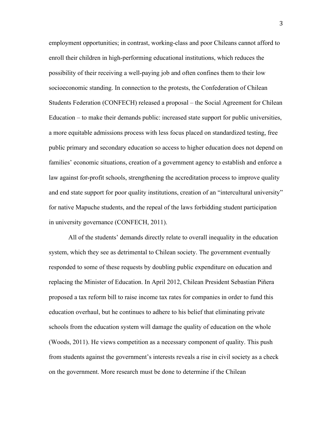employment opportunities; in contrast, working-class and poor Chileans cannot afford to enroll their children in high-performing educational institutions, which reduces the possibility of their receiving a well-paying job and often confines them to their low socioeconomic standing. In connection to the protests, the Confederation of Chilean Students Federation (CONFECH) released a proposal – the Social Agreement for Chilean Education – to make their demands public: increased state support for public universities, a more equitable admissions process with less focus placed on standardized testing, free public primary and secondary education so access to higher education does not depend on families' economic situations, creation of a government agency to establish and enforce a law against for-profit schools, strengthening the accreditation process to improve quality and end state support for poor quality institutions, creation of an "intercultural university" for native Mapuche students, and the repeal of the laws forbidding student participation in university governance (CONFECH, 2011).

All of the students' demands directly relate to overall inequality in the education system, which they see as detrimental to Chilean society. The government eventually responded to some of these requests by doubling public expenditure on education and replacing the Minister of Education. In April 2012, Chilean President Sebastian Piñera proposed a tax reform bill to raise income tax rates for companies in order to fund this education overhaul, but he continues to adhere to his belief that eliminating private schools from the education system will damage the quality of education on the whole (Woods, 2011). He views competition as a necessary component of quality. This push from students against the government's interests reveals a rise in civil society as a check on the government. More research must be done to determine if the Chilean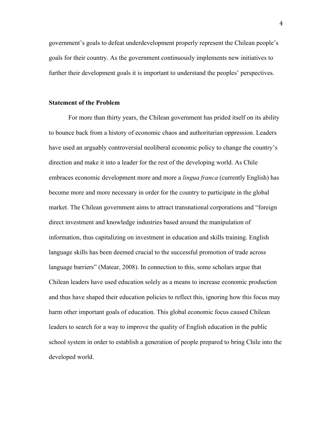government's goals to defeat underdevelopment properly represent the Chilean people's goals for their country. As the government continuously implements new initiatives to further their development goals it is important to understand the peoples' perspectives.

#### **Statement of the Problem**

For more than thirty years, the Chilean government has prided itself on its ability to bounce back from a history of economic chaos and authoritarian oppression. Leaders have used an arguably controversial neoliberal economic policy to change the country's direction and make it into a leader for the rest of the developing world. As Chile embraces economic development more and more a *lingua franca* (currently English) has become more and more necessary in order for the country to participate in the global market. The Chilean government aims to attract transnational corporations and "foreign direct investment and knowledge industries based around the manipulation of information, thus capitalizing on investment in education and skills training. English language skills has been deemed crucial to the successful promotion of trade across language barriers" (Matear, 2008). In connection to this, some scholars argue that Chilean leaders have used education solely as a means to increase economic production and thus have shaped their education policies to reflect this, ignoring how this focus may harm other important goals of education. This global economic focus caused Chilean leaders to search for a way to improve the quality of English education in the public school system in order to establish a generation of people prepared to bring Chile into the developed world.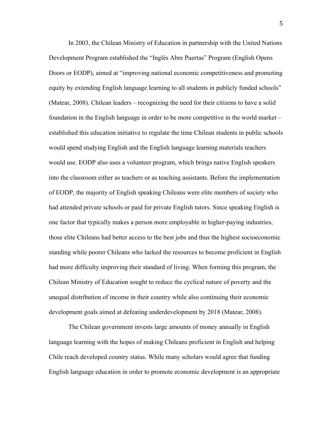In 2003, the Chilean Ministry of Education in partnership with the United Nations Development Program established the "Inglés Abre Puertas" Program (English Opens Doors or EODP), aimed at "improving national economic competitiveness and promoting equity by extending English language learning to all students in publicly funded schools" (Matear, 2008). Chilean leaders – recognizing the need for their citizens to have a solid foundation in the English language in order to be more competitive in the world market – established this education initiative to regulate the time Chilean students in public schools would spend studying English and the English language learning materials teachers would use. EODP also uses a volunteer program, which brings native English speakers into the classroom either as teachers or as teaching assistants. Before the implementation of EODP, the majority of English speaking Chileans were elite members of society who had attended private schools or paid for private English tutors. Since speaking English is one factor that typically makes a person more employable in higher-paying industries, those elite Chileans had better access to the best jobs and thus the highest socioeconomic standing while poorer Chileans who lacked the resources to become proficient in English had more difficulty improving their standard of living. When forming this program, the Chilean Ministry of Education sought to reduce the cyclical nature of poverty and the unequal distribution of income in their country while also continuing their economic development goals aimed at defeating underdevelopment by 2018 (Matear, 2008).

The Chilean government invests large amounts of money annually in English language learning with the hopes of making Chileans proficient in English and helping Chile reach developed country status. While many scholars would agree that funding English language education in order to promote economic development is an appropriate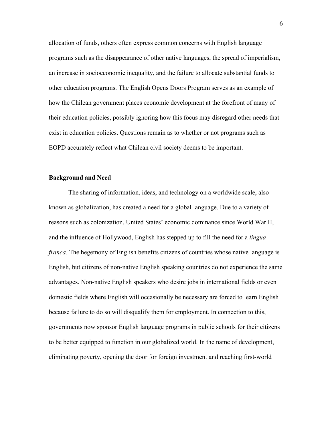allocation of funds, others often express common concerns with English language programs such as the disappearance of other native languages, the spread of imperialism, an increase in socioeconomic inequality, and the failure to allocate substantial funds to other education programs. The English Opens Doors Program serves as an example of how the Chilean government places economic development at the forefront of many of their education policies, possibly ignoring how this focus may disregard other needs that exist in education policies. Questions remain as to whether or not programs such as EOPD accurately reflect what Chilean civil society deems to be important.

### **Background and Need**

The sharing of information, ideas, and technology on a worldwide scale, also known as globalization, has created a need for a global language. Due to a variety of reasons such as colonization, United States' economic dominance since World War II, and the influence of Hollywood, English has stepped up to fill the need for a *lingua franca.* The hegemony of English benefits citizens of countries whose native language is English, but citizens of non-native English speaking countries do not experience the same advantages. Non-native English speakers who desire jobs in international fields or even domestic fields where English will occasionally be necessary are forced to learn English because failure to do so will disqualify them for employment. In connection to this, governments now sponsor English language programs in public schools for their citizens to be better equipped to function in our globalized world. In the name of development, eliminating poverty, opening the door for foreign investment and reaching first-world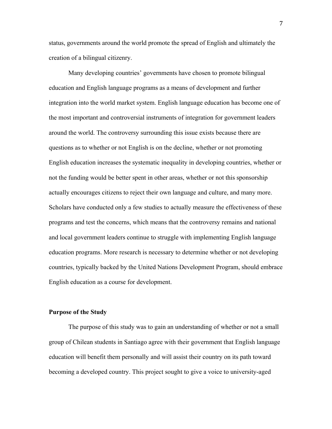status, governments around the world promote the spread of English and ultimately the creation of a bilingual citizenry.

Many developing countries' governments have chosen to promote bilingual education and English language programs as a means of development and further integration into the world market system. English language education has become one of the most important and controversial instruments of integration for government leaders around the world. The controversy surrounding this issue exists because there are questions as to whether or not English is on the decline, whether or not promoting English education increases the systematic inequality in developing countries, whether or not the funding would be better spent in other areas, whether or not this sponsorship actually encourages citizens to reject their own language and culture, and many more. Scholars have conducted only a few studies to actually measure the effectiveness of these programs and test the concerns, which means that the controversy remains and national and local government leaders continue to struggle with implementing English language education programs. More research is necessary to determine whether or not developing countries, typically backed by the United Nations Development Program, should embrace English education as a course for development.

#### **Purpose of the Study**

The purpose of this study was to gain an understanding of whether or not a small group of Chilean students in Santiago agree with their government that English language education will benefit them personally and will assist their country on its path toward becoming a developed country. This project sought to give a voice to university-aged

7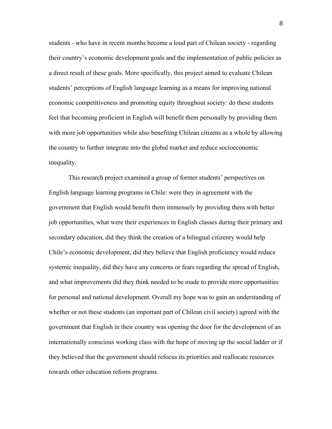students - who have in recent months become a loud part of Chilean society - regarding their country's economic development goals and the implementation of public policies as a direct result of these goals. More specifically, this project aimed to evaluate Chilean students' perceptions of English language learning as a means for improving national economic competitiveness and promoting equity throughout society: do these students feel that becoming proficient in English will benefit them personally by providing them with more job opportunities while also benefiting Chilean citizens as a whole by allowing the country to further integrate into the global market and reduce socioeconomic inequality.

This research project examined a group of former students' perspectives on English language learning programs in Chile: were they in agreement with the government that English would benefit them immensely by providing them with better job opportunities, what were their experiences in English classes during their primary and secondary education, did they think the creation of a bilingual citizenry would help Chile's economic development, did they believe that English proficiency would reduce systemic inequality, did they have any concerns or fears regarding the spread of English, and what improvements did they think needed to be made to provide more opportunities for personal and national development. Overall my hope was to gain an understanding of whether or not these students (an important part of Chilean civil society) agreed with the government that English in their country was opening the door for the development of an internationally conscious working class with the hope of moving up the social ladder or if they believed that the government should refocus its priorities and reallocate resources towards other education reform programs.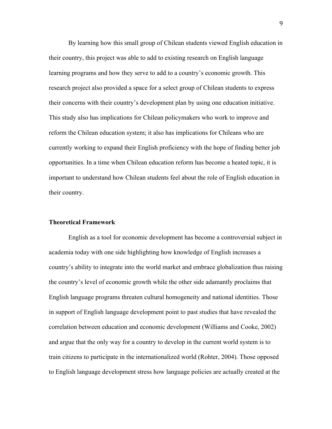By learning how this small group of Chilean students viewed English education in their country, this project was able to add to existing research on English language learning programs and how they serve to add to a country's economic growth. This research project also provided a space for a select group of Chilean students to express their concerns with their country's development plan by using one education initiative. This study also has implications for Chilean policymakers who work to improve and reform the Chilean education system; it also has implications for Chileans who are currently working to expand their English proficiency with the hope of finding better job opportunities. In a time when Chilean education reform has become a heated topic, it is important to understand how Chilean students feel about the role of English education in their country.

#### **Theoretical Framework**

English as a tool for economic development has become a controversial subject in academia today with one side highlighting how knowledge of English increases a country's ability to integrate into the world market and embrace globalization thus raising the country's level of economic growth while the other side adamantly proclaims that English language programs threaten cultural homogeneity and national identities. Those in support of English language development point to past studies that have revealed the correlation between education and economic development (Williams and Cooke, 2002) and argue that the only way for a country to develop in the current world system is to train citizens to participate in the internationalized world (Rohter, 2004). Those opposed to English language development stress how language policies are actually created at the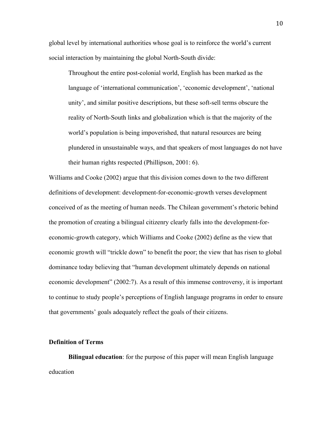global level by international authorities whose goal is to reinforce the world's current social interaction by maintaining the global North-South divide:

Throughout the entire post-colonial world, English has been marked as the language of 'international communication', 'economic development', 'national unity', and similar positive descriptions, but these soft-sell terms obscure the reality of North-South links and globalization which is that the majority of the world's population is being impoverished, that natural resources are being plundered in unsustainable ways, and that speakers of most languages do not have their human rights respected (Phillipson, 2001: 6).

Williams and Cooke (2002) argue that this division comes down to the two different definitions of development: development-for-economic-growth verses development conceived of as the meeting of human needs. The Chilean government's rhetoric behind the promotion of creating a bilingual citizenry clearly falls into the development-foreconomic-growth category, which Williams and Cooke (2002) define as the view that economic growth will "trickle down" to benefit the poor; the view that has risen to global dominance today believing that "human development ultimately depends on national economic development" (2002:7). As a result of this immense controversy, it is important to continue to study people's perceptions of English language programs in order to ensure that governments' goals adequately reflect the goals of their citizens.

#### **Definition of Terms**

**Bilingual education**: for the purpose of this paper will mean English language education

10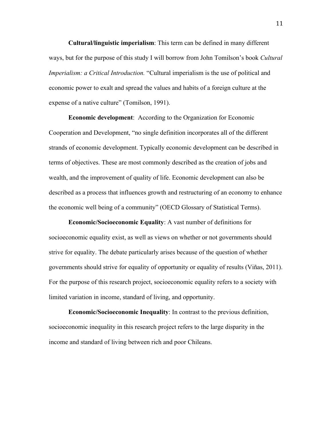**Cultural/linguistic imperialism**: This term can be defined in many different ways, but for the purpose of this study I will borrow from John Tomilson's book *Cultural Imperialism: a Critical Introduction.* "Cultural imperialism is the use of political and economic power to exalt and spread the values and habits of a foreign culture at the expense of a native culture" (Tomilson, 1991).

**Economic development**: According to the Organization for Economic Cooperation and Development, "no single definition incorporates all of the different strands of economic development. Typically economic development can be described in terms of objectives. These are most commonly described as the creation of jobs and wealth, and the improvement of quality of life. Economic development can also be described as a process that influences growth and restructuring of an economy to enhance the economic well being of a community" (OECD Glossary of Statistical Terms).

**Economic/Socioeconomic Equality**: A vast number of definitions for socioeconomic equality exist, as well as views on whether or not governments should strive for equality. The debate particularly arises because of the question of whether governments should strive for equality of opportunity or equality of results (Viñas, 2011). For the purpose of this research project, socioeconomic equality refers to a society with limited variation in income, standard of living, and opportunity.

**Economic/Socioeconomic Inequality**: In contrast to the previous definition, socioeconomic inequality in this research project refers to the large disparity in the income and standard of living between rich and poor Chileans.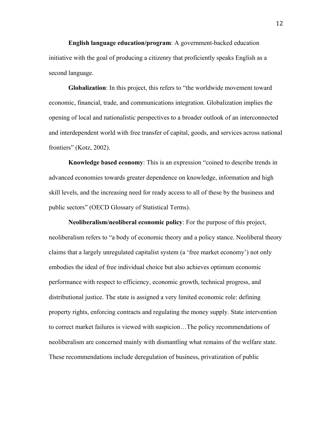**English language education/program**: A government-backed education initiative with the goal of producing a citizenry that proficiently speaks English as a second language.

**Globalization**: In this project, this refers to "the worldwide movement toward economic, financial, trade, and communications integration. Globalization implies the opening of local and nationalistic perspectives to a broader outlook of an interconnected and interdependent world with free transfer of capital, goods, and services across national frontiers" (Kotz, 2002).

**Knowledge based economy**: This is an expression "coined to describe trends in advanced economies towards greater dependence on knowledge, information and high skill levels, and the increasing need for ready access to all of these by the business and public sectors" (OECD Glossary of Statistical Terms).

**Neoliberalism/neoliberal economic policy**: For the purpose of this project, neoliberalism refers to "a body of economic theory and a policy stance. Neoliberal theory claims that a largely unregulated capitalist system (a 'free market economy') not only embodies the ideal of free individual choice but also achieves optimum economic performance with respect to efficiency, economic growth, technical progress, and distributional justice. The state is assigned a very limited economic role: defining property rights, enforcing contracts and regulating the money supply. State intervention to correct market failures is viewed with suspicion…The policy recommendations of neoliberalism are concerned mainly with dismantling what remains of the welfare state. These recommendations include deregulation of business, privatization of public

12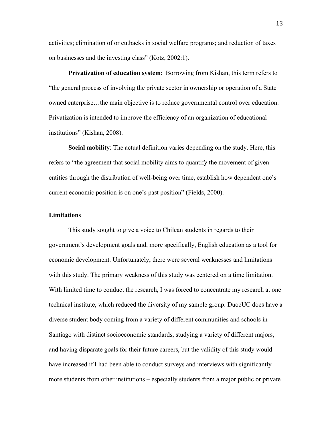activities; elimination of or cutbacks in social welfare programs; and reduction of taxes on businesses and the investing class" (Kotz, 2002:1).

**Privatization of education system**: Borrowing from Kishan, this term refers to "the general process of involving the private sector in ownership or operation of a State owned enterprise…the main objective is to reduce governmental control over education. Privatization is intended to improve the efficiency of an organization of educational institutions" (Kishan, 2008).

**Social mobility**: The actual definition varies depending on the study. Here, this refers to "the agreement that social mobility aims to quantify the movement of given entities through the distribution of well-being over time, establish how dependent one's current economic position is on one's past position" (Fields, 2000).

# **Limitations**

This study sought to give a voice to Chilean students in regards to their government's development goals and, more specifically, English education as a tool for economic development. Unfortunately, there were several weaknesses and limitations with this study. The primary weakness of this study was centered on a time limitation. With limited time to conduct the research, I was forced to concentrate my research at one technical institute, which reduced the diversity of my sample group. DuocUC does have a diverse student body coming from a variety of different communities and schools in Santiago with distinct socioeconomic standards, studying a variety of different majors, and having disparate goals for their future careers, but the validity of this study would have increased if I had been able to conduct surveys and interviews with significantly more students from other institutions – especially students from a major public or private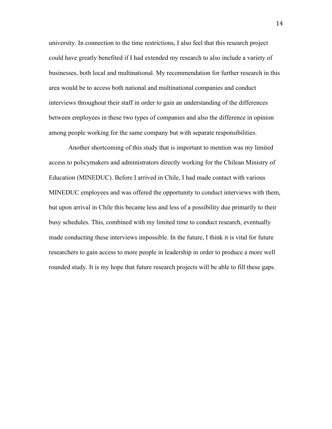university. In connection to the time restrictions, I also feel that this research project could have greatly benefited if I had extended my research to also include a variety of businesses, both local and multinational. My recommendation for further research in this area would be to access both national and multinational companies and conduct interviews throughout their staff in order to gain an understanding of the differences between employees in these two types of companies and also the difference in opinion among people working for the same company but with separate responsibilities.

Another shortcoming of this study that is important to mention was my limited access to policymakers and administrators directly working for the Chilean Ministry of Education (MINEDUC). Before I arrived in Chile, I had made contact with various MINEDUC employees and was offered the opportunity to conduct interviews with them, but upon arrival in Chile this became less and less of a possibility due primarily to their busy schedules. This, combined with my limited time to conduct research, eventually made conducting these interviews impossible. In the future, I think it is vital for future researchers to gain access to more people in leadership in order to produce a more well rounded study. It is my hope that future research projects will be able to fill these gaps.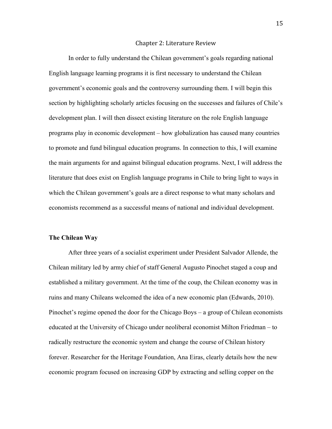#### Chapter
2:
Literature
Review

In order to fully understand the Chilean government's goals regarding national English language learning programs it is first necessary to understand the Chilean government's economic goals and the controversy surrounding them. I will begin this section by highlighting scholarly articles focusing on the successes and failures of Chile's development plan. I will then dissect existing literature on the role English language programs play in economic development – how globalization has caused many countries to promote and fund bilingual education programs. In connection to this, I will examine the main arguments for and against bilingual education programs. Next, I will address the literature that does exist on English language programs in Chile to bring light to ways in which the Chilean government's goals are a direct response to what many scholars and economists recommend as a successful means of national and individual development.

#### **The Chilean Way**

After three years of a socialist experiment under President Salvador Allende, the Chilean military led by army chief of staff General Augusto Pinochet staged a coup and established a military government. At the time of the coup, the Chilean economy was in ruins and many Chileans welcomed the idea of a new economic plan (Edwards, 2010). Pinochet's regime opened the door for the Chicago Boys – a group of Chilean economists educated at the University of Chicago under neoliberal economist Milton Friedman – to radically restructure the economic system and change the course of Chilean history forever. Researcher for the Heritage Foundation, Ana Eiras, clearly details how the new economic program focused on increasing GDP by extracting and selling copper on the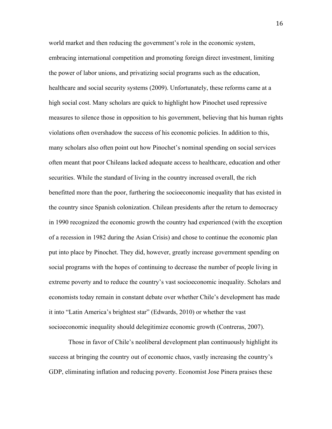world market and then reducing the government's role in the economic system, embracing international competition and promoting foreign direct investment, limiting the power of labor unions, and privatizing social programs such as the education, healthcare and social security systems (2009). Unfortunately, these reforms came at a high social cost. Many scholars are quick to highlight how Pinochet used repressive measures to silence those in opposition to his government, believing that his human rights violations often overshadow the success of his economic policies. In addition to this, many scholars also often point out how Pinochet's nominal spending on social services often meant that poor Chileans lacked adequate access to healthcare, education and other securities. While the standard of living in the country increased overall, the rich benefitted more than the poor, furthering the socioeconomic inequality that has existed in the country since Spanish colonization. Chilean presidents after the return to democracy in 1990 recognized the economic growth the country had experienced (with the exception of a recession in 1982 during the Asian Crisis) and chose to continue the economic plan put into place by Pinochet. They did, however, greatly increase government spending on social programs with the hopes of continuing to decrease the number of people living in extreme poverty and to reduce the country's vast socioeconomic inequality. Scholars and economists today remain in constant debate over whether Chile's development has made it into "Latin America's brightest star" (Edwards, 2010) or whether the vast socioeconomic inequality should delegitimize economic growth (Contreras, 2007).

Those in favor of Chile's neoliberal development plan continuously highlight its success at bringing the country out of economic chaos, vastly increasing the country's GDP, eliminating inflation and reducing poverty. Economist Jose Pinera praises these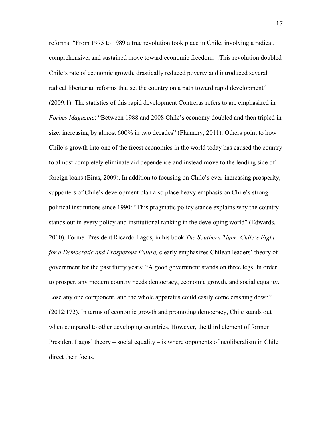reforms: "From 1975 to 1989 a true revolution took place in Chile, involving a radical, comprehensive, and sustained move toward economic freedom…This revolution doubled Chile's rate of economic growth, drastically reduced poverty and introduced several radical libertarian reforms that set the country on a path toward rapid development" (2009:1). The statistics of this rapid development Contreras refers to are emphasized in *Forbes Magazine*: "Between 1988 and 2008 Chile's economy doubled and then tripled in size, increasing by almost 600% in two decades" (Flannery, 2011). Others point to how Chile's growth into one of the freest economies in the world today has caused the country to almost completely eliminate aid dependence and instead move to the lending side of foreign loans (Eiras, 2009). In addition to focusing on Chile's ever-increasing prosperity, supporters of Chile's development plan also place heavy emphasis on Chile's strong political institutions since 1990: "This pragmatic policy stance explains why the country stands out in every policy and institutional ranking in the developing world" (Edwards, 2010). Former President Ricardo Lagos, in his book *The Southern Tiger: Chile's Fight for a Democratic and Prosperous Future,* clearly emphasizes Chilean leaders' theory of government for the past thirty years: "A good government stands on three legs. In order to prosper, any modern country needs democracy, economic growth, and social equality. Lose any one component, and the whole apparatus could easily come crashing down" (2012:172). In terms of economic growth and promoting democracy, Chile stands out when compared to other developing countries. However, the third element of former President Lagos' theory – social equality – is where opponents of neoliberalism in Chile direct their focus.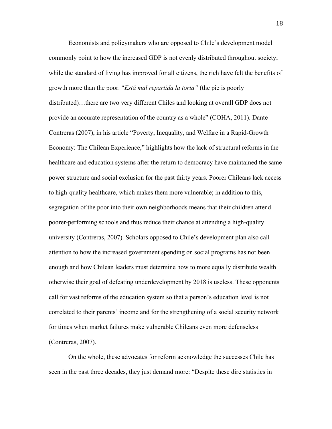Economists and policymakers who are opposed to Chile's development model commonly point to how the increased GDP is not evenly distributed throughout society; while the standard of living has improved for all citizens, the rich have felt the benefits of growth more than the poor. "*Está mal repartida la torta"* (the pie is poorly distributed)…there are two very different Chiles and looking at overall GDP does not provide an accurate representation of the country as a whole" (COHA, 2011). Dante Contreras (2007), in his article "Poverty, Inequality, and Welfare in a Rapid-Growth Economy: The Chilean Experience," highlights how the lack of structural reforms in the healthcare and education systems after the return to democracy have maintained the same power structure and social exclusion for the past thirty years. Poorer Chileans lack access to high-quality healthcare, which makes them more vulnerable; in addition to this, segregation of the poor into their own neighborhoods means that their children attend poorer-performing schools and thus reduce their chance at attending a high-quality university (Contreras, 2007). Scholars opposed to Chile's development plan also call attention to how the increased government spending on social programs has not been enough and how Chilean leaders must determine how to more equally distribute wealth otherwise their goal of defeating underdevelopment by 2018 is useless. These opponents call for vast reforms of the education system so that a person's education level is not correlated to their parents' income and for the strengthening of a social security network for times when market failures make vulnerable Chileans even more defenseless (Contreras, 2007).

On the whole, these advocates for reform acknowledge the successes Chile has seen in the past three decades, they just demand more: "Despite these dire statistics in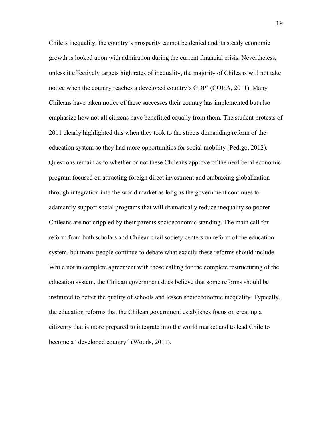Chile's inequality, the country's prosperity cannot be denied and its steady economic growth is looked upon with admiration during the current financial crisis. Nevertheless, unless it effectively targets high rates of inequality, the majority of Chileans will not take notice when the country reaches a developed country's GDP' (COHA, 2011). Many Chileans have taken notice of these successes their country has implemented but also emphasize how not all citizens have benefitted equally from them. The student protests of 2011 clearly highlighted this when they took to the streets demanding reform of the education system so they had more opportunities for social mobility (Pedigo, 2012). Questions remain as to whether or not these Chileans approve of the neoliberal economic program focused on attracting foreign direct investment and embracing globalization through integration into the world market as long as the government continues to adamantly support social programs that will dramatically reduce inequality so poorer Chileans are not crippled by their parents socioeconomic standing. The main call for reform from both scholars and Chilean civil society centers on reform of the education system, but many people continue to debate what exactly these reforms should include. While not in complete agreement with those calling for the complete restructuring of the education system, the Chilean government does believe that some reforms should be instituted to better the quality of schools and lessen socioeconomic inequality. Typically, the education reforms that the Chilean government establishes focus on creating a citizenry that is more prepared to integrate into the world market and to lead Chile to become a "developed country" (Woods, 2011).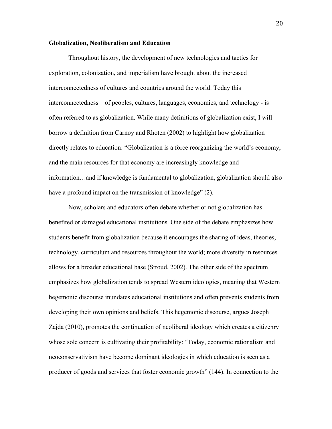#### **Globalization, Neoliberalism and Education**

Throughout history, the development of new technologies and tactics for exploration, colonization, and imperialism have brought about the increased interconnectedness of cultures and countries around the world. Today this interconnectedness – of peoples, cultures, languages, economies, and technology - is often referred to as globalization. While many definitions of globalization exist, I will borrow a definition from Carnoy and Rhoten (2002) to highlight how globalization directly relates to education: "Globalization is a force reorganizing the world's economy, and the main resources for that economy are increasingly knowledge and information…and if knowledge is fundamental to globalization, globalization should also have a profound impact on the transmission of knowledge" (2).

Now, scholars and educators often debate whether or not globalization has benefited or damaged educational institutions. One side of the debate emphasizes how students benefit from globalization because it encourages the sharing of ideas, theories, technology, curriculum and resources throughout the world; more diversity in resources allows for a broader educational base (Stroud, 2002). The other side of the spectrum emphasizes how globalization tends to spread Western ideologies, meaning that Western hegemonic discourse inundates educational institutions and often prevents students from developing their own opinions and beliefs. This hegemonic discourse, argues Joseph Zajda (2010), promotes the continuation of neoliberal ideology which creates a citizenry whose sole concern is cultivating their profitability: "Today, economic rationalism and neoconservativism have become dominant ideologies in which education is seen as a producer of goods and services that foster economic growth" (144). In connection to the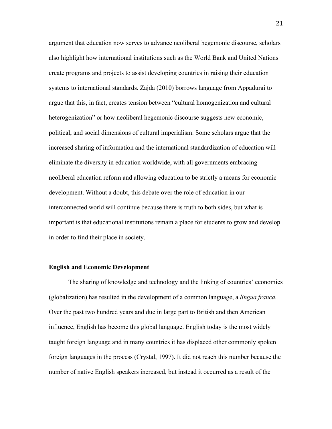argument that education now serves to advance neoliberal hegemonic discourse, scholars also highlight how international institutions such as the World Bank and United Nations create programs and projects to assist developing countries in raising their education systems to international standards. Zajda (2010) borrows language from Appadurai to argue that this, in fact, creates tension between "cultural homogenization and cultural heterogenization" or how neoliberal hegemonic discourse suggests new economic, political, and social dimensions of cultural imperialism. Some scholars argue that the increased sharing of information and the international standardization of education will eliminate the diversity in education worldwide, with all governments embracing neoliberal education reform and allowing education to be strictly a means for economic development. Without a doubt, this debate over the role of education in our interconnected world will continue because there is truth to both sides, but what is important is that educational institutions remain a place for students to grow and develop in order to find their place in society.

#### **English and Economic Development**

The sharing of knowledge and technology and the linking of countries' economies (globalization) has resulted in the development of a common language, a *lingua franca.* Over the past two hundred years and due in large part to British and then American influence, English has become this global language. English today is the most widely taught foreign language and in many countries it has displaced other commonly spoken foreign languages in the process (Crystal, 1997). It did not reach this number because the number of native English speakers increased, but instead it occurred as a result of the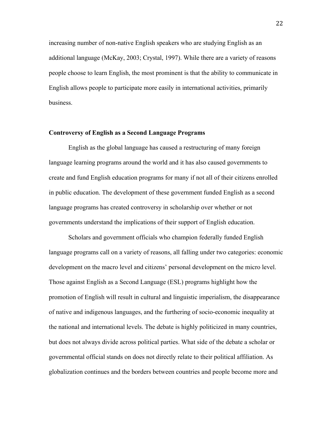increasing number of non-native English speakers who are studying English as an additional language (McKay, 2003; Crystal, 1997). While there are a variety of reasons people choose to learn English, the most prominent is that the ability to communicate in English allows people to participate more easily in international activities, primarily business.

#### **Controversy of English as a Second Language Programs**

English as the global language has caused a restructuring of many foreign language learning programs around the world and it has also caused governments to create and fund English education programs for many if not all of their citizens enrolled in public education. The development of these government funded English as a second language programs has created controversy in scholarship over whether or not governments understand the implications of their support of English education.

Scholars and government officials who champion federally funded English language programs call on a variety of reasons, all falling under two categories: economic development on the macro level and citizens' personal development on the micro level. Those against English as a Second Language (ESL) programs highlight how the promotion of English will result in cultural and linguistic imperialism, the disappearance of native and indigenous languages, and the furthering of socio-economic inequality at the national and international levels. The debate is highly politicized in many countries, but does not always divide across political parties. What side of the debate a scholar or governmental official stands on does not directly relate to their political affiliation. As globalization continues and the borders between countries and people become more and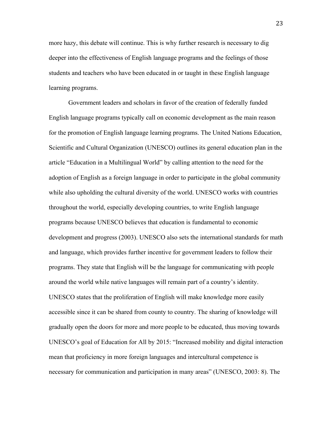more hazy, this debate will continue. This is why further research is necessary to dig deeper into the effectiveness of English language programs and the feelings of those students and teachers who have been educated in or taught in these English language learning programs.

Government leaders and scholars in favor of the creation of federally funded English language programs typically call on economic development as the main reason for the promotion of English language learning programs. The United Nations Education, Scientific and Cultural Organization (UNESCO) outlines its general education plan in the article "Education in a Multilingual World" by calling attention to the need for the adoption of English as a foreign language in order to participate in the global community while also upholding the cultural diversity of the world. UNESCO works with countries throughout the world, especially developing countries, to write English language programs because UNESCO believes that education is fundamental to economic development and progress (2003). UNESCO also sets the international standards for math and language, which provides further incentive for government leaders to follow their programs. They state that English will be the language for communicating with people around the world while native languages will remain part of a country's identity. UNESCO states that the proliferation of English will make knowledge more easily accessible since it can be shared from county to country. The sharing of knowledge will gradually open the doors for more and more people to be educated, thus moving towards UNESCO's goal of Education for All by 2015: "Increased mobility and digital interaction mean that proficiency in more foreign languages and intercultural competence is necessary for communication and participation in many areas" (UNESCO, 2003: 8). The

23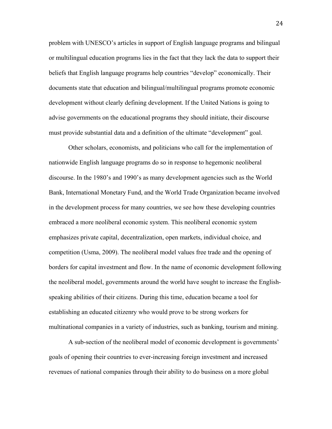problem with UNESCO's articles in support of English language programs and bilingual or multilingual education programs lies in the fact that they lack the data to support their beliefs that English language programs help countries "develop" economically. Their documents state that education and bilingual/multilingual programs promote economic development without clearly defining development. If the United Nations is going to advise governments on the educational programs they should initiate, their discourse must provide substantial data and a definition of the ultimate "development" goal.

Other scholars, economists, and politicians who call for the implementation of nationwide English language programs do so in response to hegemonic neoliberal discourse. In the 1980's and 1990's as many development agencies such as the World Bank, International Monetary Fund, and the World Trade Organization became involved in the development process for many countries, we see how these developing countries embraced a more neoliberal economic system. This neoliberal economic system emphasizes private capital, decentralization, open markets, individual choice, and competition (Usma, 2009). The neoliberal model values free trade and the opening of borders for capital investment and flow. In the name of economic development following the neoliberal model, governments around the world have sought to increase the Englishspeaking abilities of their citizens. During this time, education became a tool for establishing an educated citizenry who would prove to be strong workers for multinational companies in a variety of industries, such as banking, tourism and mining.

A sub-section of the neoliberal model of economic development is governments' goals of opening their countries to ever-increasing foreign investment and increased revenues of national companies through their ability to do business on a more global

24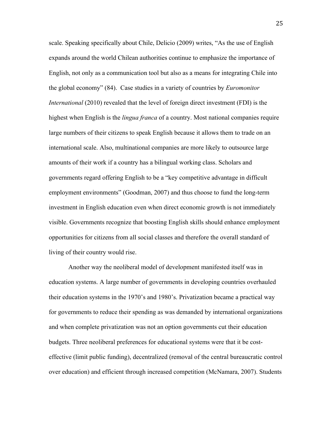scale. Speaking specifically about Chile, Delicio (2009) writes, "As the use of English expands around the world Chilean authorities continue to emphasize the importance of English, not only as a communication tool but also as a means for integrating Chile into the global economy" (84). Case studies in a variety of countries by *Euromonitor International* (2010) revealed that the level of foreign direct investment (FDI) is the highest when English is the *lingua franca* of a country. Most national companies require large numbers of their citizens to speak English because it allows them to trade on an international scale. Also, multinational companies are more likely to outsource large amounts of their work if a country has a bilingual working class. Scholars and governments regard offering English to be a "key competitive advantage in difficult employment environments" (Goodman, 2007) and thus choose to fund the long-term investment in English education even when direct economic growth is not immediately visible. Governments recognize that boosting English skills should enhance employment opportunities for citizens from all social classes and therefore the overall standard of living of their country would rise.

Another way the neoliberal model of development manifested itself was in education systems. A large number of governments in developing countries overhauled their education systems in the 1970's and 1980's. Privatization became a practical way for governments to reduce their spending as was demanded by international organizations and when complete privatization was not an option governments cut their education budgets. Three neoliberal preferences for educational systems were that it be costeffective (limit public funding), decentralized (removal of the central bureaucratic control over education) and efficient through increased competition (McNamara, 2007). Students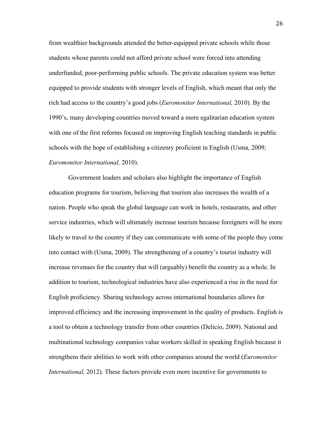from wealthier backgrounds attended the better-equipped private schools while those students whose parents could not afford private school were forced into attending underfunded, poor-performing public schools. The private education system was better equipped to provide students with stronger levels of English, which meant that only the rich had access to the country's good jobs (*Euromonitor International,* 2010). By the 1990's, many developing countries moved toward a more egalitarian education system with one of the first reforms focused on improving English teaching standards in public schools with the hope of establishing a citizenry proficient in English (Usma, 2009; *Euromonitor International,* 2010).

Government leaders and scholars also highlight the importance of English education programs for tourism, believing that tourism also increases the wealth of a nation. People who speak the global language can work in hotels, restaurants, and other service industries, which will ultimately increase tourism because foreigners will be more likely to travel to the country if they can communicate with some of the people they come into contact with (Usma, 2009). The strengthening of a country's tourist industry will increase revenues for the country that will (arguably) benefit the country as a whole. In addition to tourism, technological industries have also experienced a rise in the need for English proficiency. Sharing technology across international boundaries allows for improved efficiency and the increasing improvement in the quality of products. English is a tool to obtain a technology transfer from other countries (Delicio, 2009). National and multinational technology companies value workers skilled in speaking English because it strengthens their abilities to work with other companies around the world (*Euromonitor International,* 2012). These factors provide even more incentive for governments to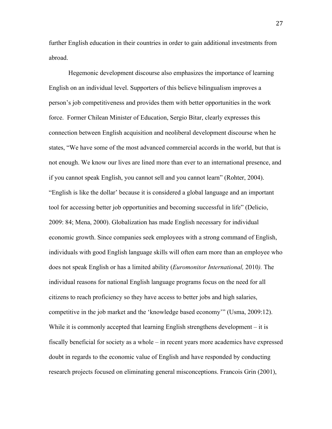further English education in their countries in order to gain additional investments from abroad.

Hegemonic development discourse also emphasizes the importance of learning English on an individual level. Supporters of this believe bilingualism improves a person's job competitiveness and provides them with better opportunities in the work force. Former Chilean Minister of Education, Sergio Bitar, clearly expresses this connection between English acquisition and neoliberal development discourse when he states, "We have some of the most advanced commercial accords in the world, but that is not enough. We know our lives are lined more than ever to an international presence, and if you cannot speak English, you cannot sell and you cannot learn" (Rohter, 2004). "English is like the dollar' because it is considered a global language and an important tool for accessing better job opportunities and becoming successful in life" (Delicio, 2009: 84; Mena, 2000). Globalization has made English necessary for individual economic growth. Since companies seek employees with a strong command of English, individuals with good English language skills will often earn more than an employee who does not speak English or has a limited ability (*Euromonitor International,* 2010*).* The individual reasons for national English language programs focus on the need for all citizens to reach proficiency so they have access to better jobs and high salaries, competitive in the job market and the 'knowledge based economy'" (Usma, 2009:12). While it is commonly accepted that learning English strengthens development – it is fiscally beneficial for society as a whole – in recent years more academics have expressed doubt in regards to the economic value of English and have responded by conducting research projects focused on eliminating general misconceptions. Francois Grin (2001),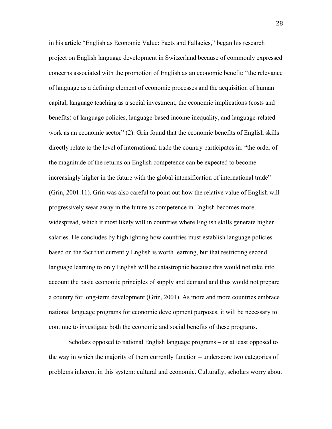in his article "English as Economic Value: Facts and Fallacies," began his research project on English language development in Switzerland because of commonly expressed concerns associated with the promotion of English as an economic benefit: "the relevance of language as a defining element of economic processes and the acquisition of human capital, language teaching as a social investment, the economic implications (costs and benefits) of language policies, language-based income inequality, and language-related work as an economic sector" (2). Grin found that the economic benefits of English skills directly relate to the level of international trade the country participates in: "the order of the magnitude of the returns on English competence can be expected to become increasingly higher in the future with the global intensification of international trade" (Grin, 2001:11). Grin was also careful to point out how the relative value of English will progressively wear away in the future as competence in English becomes more widespread, which it most likely will in countries where English skills generate higher salaries. He concludes by highlighting how countries must establish language policies based on the fact that currently English is worth learning, but that restricting second language learning to only English will be catastrophic because this would not take into account the basic economic principles of supply and demand and thus would not prepare a country for long-term development (Grin, 2001). As more and more countries embrace national language programs for economic development purposes, it will be necessary to continue to investigate both the economic and social benefits of these programs.

Scholars opposed to national English language programs – or at least opposed to the way in which the majority of them currently function – underscore two categories of problems inherent in this system: cultural and economic. Culturally, scholars worry about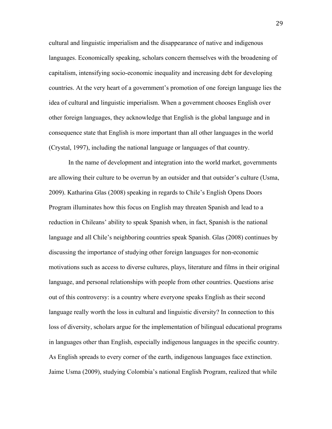cultural and linguistic imperialism and the disappearance of native and indigenous languages. Economically speaking, scholars concern themselves with the broadening of capitalism, intensifying socio-economic inequality and increasing debt for developing countries. At the very heart of a government's promotion of one foreign language lies the idea of cultural and linguistic imperialism. When a government chooses English over other foreign languages, they acknowledge that English is the global language and in consequence state that English is more important than all other languages in the world (Crystal, 1997), including the national language or languages of that country.

In the name of development and integration into the world market, governments are allowing their culture to be overrun by an outsider and that outsider's culture (Usma, 2009). Katharina Glas (2008) speaking in regards to Chile's English Opens Doors Program illuminates how this focus on English may threaten Spanish and lead to a reduction in Chileans' ability to speak Spanish when, in fact, Spanish is the national language and all Chile's neighboring countries speak Spanish. Glas (2008) continues by discussing the importance of studying other foreign languages for non-economic motivations such as access to diverse cultures, plays, literature and films in their original language, and personal relationships with people from other countries. Questions arise out of this controversy: is a country where everyone speaks English as their second language really worth the loss in cultural and linguistic diversity? In connection to this loss of diversity, scholars argue for the implementation of bilingual educational programs in languages other than English, especially indigenous languages in the specific country. As English spreads to every corner of the earth, indigenous languages face extinction. Jaime Usma (2009), studying Colombia's national English Program, realized that while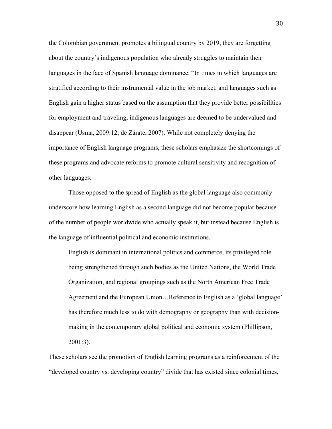the Colombian government promotes a bilingual country by 2019, they are forgetting about the country's indigenous population who already struggles to maintain their languages in the face of Spanish language dominance. "In times in which languages are stratified according to their instrumental value in the job market, and languages such as English gain a higher status based on the assumption that they provide better possibilities for employment and traveling, indigenous languages are deemed to be undervalued and disappear (Usma, 2009:12; de Zárate, 2007). While not completely denying the importance of English language programs, these scholars emphasize the shortcomings of these programs and advocate reforms to promote cultural sensitivity and recognition of other languages.

Those opposed to the spread of English as the global language also commonly underscore how learning English as a second language did not become popular because of the number of people worldwide who actually speak it, but instead because English is the language of influential political and economic institutions.

English is dominant in international politics and commerce, its privileged role being strengthened through such bodies as the United Nations, the World Trade Organization, and regional groupings such as the North American Free Trade Agreement and the European Union…Reference to English as a 'global language' has therefore much less to do with demography or geography than with decisionmaking in the contemporary global political and economic system (Phillipson, 2001:3).

These scholars see the promotion of English learning programs as a reinforcement of the "developed country vs. developing country" divide that has existed since colonial times,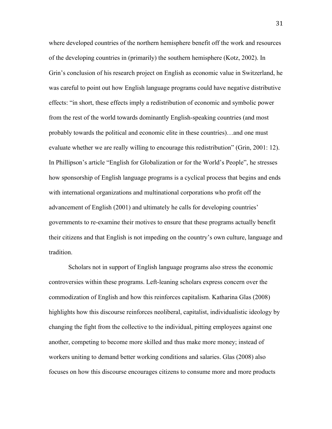where developed countries of the northern hemisphere benefit off the work and resources of the developing countries in (primarily) the southern hemisphere (Kotz, 2002). In Grin's conclusion of his research project on English as economic value in Switzerland, he was careful to point out how English language programs could have negative distributive effects: "in short, these effects imply a redistribution of economic and symbolic power from the rest of the world towards dominantly English-speaking countries (and most probably towards the political and economic elite in these countries)…and one must evaluate whether we are really willing to encourage this redistribution" (Grin, 2001: 12). In Phillipson's article "English for Globalization or for the World's People", he stresses how sponsorship of English language programs is a cyclical process that begins and ends with international organizations and multinational corporations who profit off the advancement of English (2001) and ultimately he calls for developing countries' governments to re-examine their motives to ensure that these programs actually benefit their citizens and that English is not impeding on the country's own culture, language and tradition.

Scholars not in support of English language programs also stress the economic controversies within these programs. Left-leaning scholars express concern over the commodization of English and how this reinforces capitalism. Katharina Glas (2008) highlights how this discourse reinforces neoliberal, capitalist, individualistic ideology by changing the fight from the collective to the individual, pitting employees against one another, competing to become more skilled and thus make more money; instead of workers uniting to demand better working conditions and salaries. Glas (2008) also focuses on how this discourse encourages citizens to consume more and more products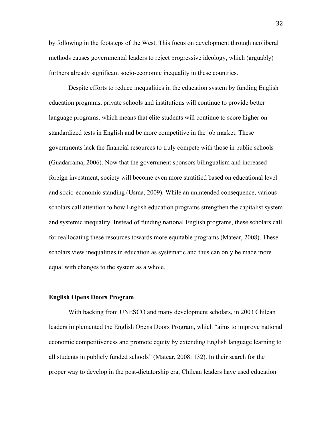by following in the footsteps of the West. This focus on development through neoliberal methods causes governmental leaders to reject progressive ideology, which (arguably) furthers already significant socio-economic inequality in these countries.

Despite efforts to reduce inequalities in the education system by funding English education programs, private schools and institutions will continue to provide better language programs, which means that elite students will continue to score higher on standardized tests in English and be more competitive in the job market. These governments lack the financial resources to truly compete with those in public schools (Guadarrama, 2006). Now that the government sponsors bilingualism and increased foreign investment, society will become even more stratified based on educational level and socio-economic standing (Usma, 2009). While an unintended consequence, various scholars call attention to how English education programs strengthen the capitalist system and systemic inequality. Instead of funding national English programs, these scholars call for reallocating these resources towards more equitable programs (Matear, 2008). These scholars view inequalities in education as systematic and thus can only be made more equal with changes to the system as a whole.

#### **English Opens Doors Program**

With backing from UNESCO and many development scholars, in 2003 Chilean leaders implemented the English Opens Doors Program, which "aims to improve national economic competitiveness and promote equity by extending English language learning to all students in publicly funded schools" (Matear, 2008: 132). In their search for the proper way to develop in the post-dictatorship era, Chilean leaders have used education

32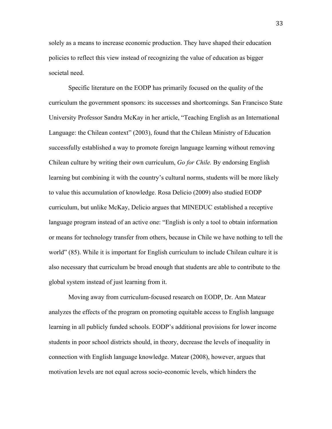solely as a means to increase economic production. They have shaped their education policies to reflect this view instead of recognizing the value of education as bigger societal need.

Specific literature on the EODP has primarily focused on the quality of the curriculum the government sponsors: its successes and shortcomings. San Francisco State University Professor Sandra McKay in her article, "Teaching English as an International Language: the Chilean context" (2003), found that the Chilean Ministry of Education successfully established a way to promote foreign language learning without removing Chilean culture by writing their own curriculum, *Go for Chile.* By endorsing English learning but combining it with the country's cultural norms, students will be more likely to value this accumulation of knowledge. Rosa Delicio (2009) also studied EODP curriculum, but unlike McKay, Delicio argues that MINEDUC established a receptive language program instead of an active one: "English is only a tool to obtain information or means for technology transfer from others, because in Chile we have nothing to tell the world" (85). While it is important for English curriculum to include Chilean culture it is also necessary that curriculum be broad enough that students are able to contribute to the global system instead of just learning from it.

Moving away from curriculum-focused research on EODP, Dr. Ann Matear analyzes the effects of the program on promoting equitable access to English language learning in all publicly funded schools. EODP's additional provisions for lower income students in poor school districts should, in theory, decrease the levels of inequality in connection with English language knowledge. Matear (2008), however, argues that motivation levels are not equal across socio-economic levels, which hinders the

33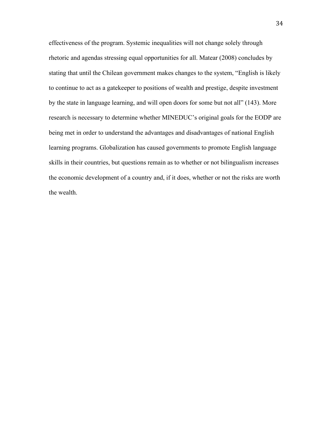effectiveness of the program. Systemic inequalities will not change solely through rhetoric and agendas stressing equal opportunities for all. Matear (2008) concludes by stating that until the Chilean government makes changes to the system, "English is likely to continue to act as a gatekeeper to positions of wealth and prestige, despite investment by the state in language learning, and will open doors for some but not all" (143). More research is necessary to determine whether MINEDUC's original goals for the EODP are being met in order to understand the advantages and disadvantages of national English learning programs. Globalization has caused governments to promote English language skills in their countries, but questions remain as to whether or not bilingualism increases the economic development of a country and, if it does, whether or not the risks are worth the wealth.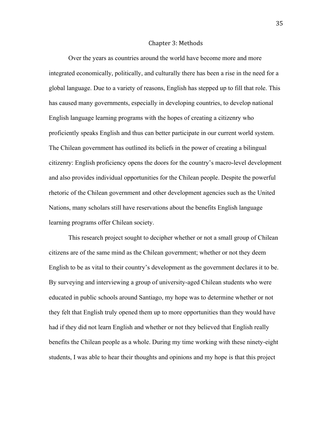#### Chapter
3: Methods

Over the years as countries around the world have become more and more integrated economically, politically, and culturally there has been a rise in the need for a global language. Due to a variety of reasons, English has stepped up to fill that role. This has caused many governments, especially in developing countries, to develop national English language learning programs with the hopes of creating a citizenry who proficiently speaks English and thus can better participate in our current world system. The Chilean government has outlined its beliefs in the power of creating a bilingual citizenry: English proficiency opens the doors for the country's macro-level development and also provides individual opportunities for the Chilean people. Despite the powerful rhetoric of the Chilean government and other development agencies such as the United Nations, many scholars still have reservations about the benefits English language learning programs offer Chilean society.

This research project sought to decipher whether or not a small group of Chilean citizens are of the same mind as the Chilean government; whether or not they deem English to be as vital to their country's development as the government declares it to be. By surveying and interviewing a group of university-aged Chilean students who were educated in public schools around Santiago, my hope was to determine whether or not they felt that English truly opened them up to more opportunities than they would have had if they did not learn English and whether or not they believed that English really benefits the Chilean people as a whole. During my time working with these ninety-eight students, I was able to hear their thoughts and opinions and my hope is that this project

35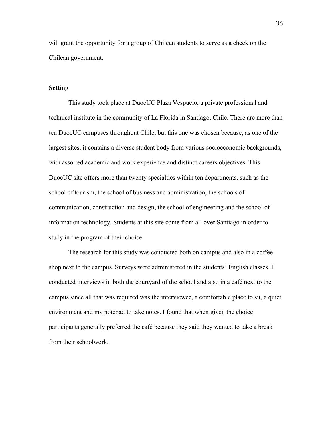will grant the opportunity for a group of Chilean students to serve as a check on the Chilean government.

# **Setting**

This study took place at DuocUC Plaza Vespucio, a private professional and technical institute in the community of La Florida in Santiago, Chile. There are more than ten DuocUC campuses throughout Chile, but this one was chosen because, as one of the largest sites, it contains a diverse student body from various socioeconomic backgrounds, with assorted academic and work experience and distinct careers objectives. This DuocUC site offers more than twenty specialties within ten departments, such as the school of tourism, the school of business and administration, the schools of communication, construction and design, the school of engineering and the school of information technology. Students at this site come from all over Santiago in order to study in the program of their choice.

The research for this study was conducted both on campus and also in a coffee shop next to the campus. Surveys were administered in the students' English classes. I conducted interviews in both the courtyard of the school and also in a café next to the campus since all that was required was the interviewee, a comfortable place to sit, a quiet environment and my notepad to take notes. I found that when given the choice participants generally preferred the café because they said they wanted to take a break from their schoolwork.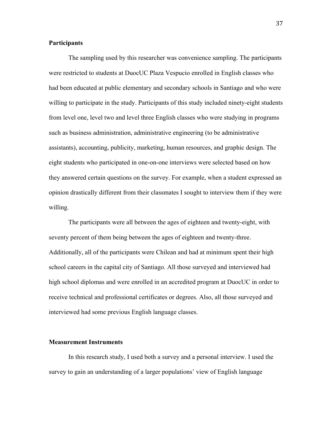# **Participants**

The sampling used by this researcher was convenience sampling. The participants were restricted to students at DuocUC Plaza Vespucio enrolled in English classes who had been educated at public elementary and secondary schools in Santiago and who were willing to participate in the study. Participants of this study included ninety-eight students from level one, level two and level three English classes who were studying in programs such as business administration, administrative engineering (to be administrative assistants), accounting, publicity, marketing, human resources, and graphic design. The eight students who participated in one-on-one interviews were selected based on how they answered certain questions on the survey. For example, when a student expressed an opinion drastically different from their classmates I sought to interview them if they were willing.

The participants were all between the ages of eighteen and twenty-eight, with seventy percent of them being between the ages of eighteen and twenty-three. Additionally, all of the participants were Chilean and had at minimum spent their high school careers in the capital city of Santiago. All those surveyed and interviewed had high school diplomas and were enrolled in an accredited program at DuocUC in order to receive technical and professional certificates or degrees. Also, all those surveyed and interviewed had some previous English language classes.

#### **Measurement Instruments**

In this research study, I used both a survey and a personal interview. I used the survey to gain an understanding of a larger populations' view of English language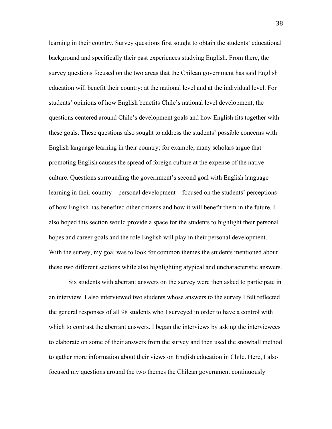learning in their country. Survey questions first sought to obtain the students' educational background and specifically their past experiences studying English. From there, the survey questions focused on the two areas that the Chilean government has said English education will benefit their country: at the national level and at the individual level. For students' opinions of how English benefits Chile's national level development, the questions centered around Chile's development goals and how English fits together with these goals. These questions also sought to address the students' possible concerns with English language learning in their country; for example, many scholars argue that promoting English causes the spread of foreign culture at the expense of the native culture. Questions surrounding the government's second goal with English language learning in their country – personal development – focused on the students' perceptions of how English has benefited other citizens and how it will benefit them in the future. I also hoped this section would provide a space for the students to highlight their personal hopes and career goals and the role English will play in their personal development. With the survey, my goal was to look for common themes the students mentioned about these two different sections while also highlighting atypical and uncharacteristic answers.

Six students with aberrant answers on the survey were then asked to participate in an interview. I also interviewed two students whose answers to the survey I felt reflected the general responses of all 98 students who I surveyed in order to have a control with which to contrast the aberrant answers. I began the interviews by asking the interviewees to elaborate on some of their answers from the survey and then used the snowball method to gather more information about their views on English education in Chile. Here, I also focused my questions around the two themes the Chilean government continuously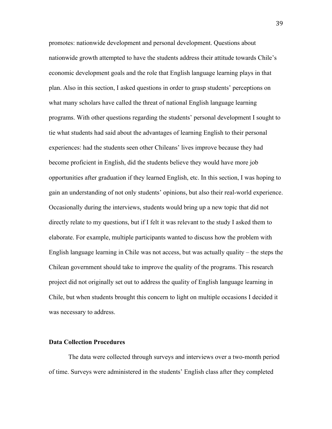promotes: nationwide development and personal development. Questions about nationwide growth attempted to have the students address their attitude towards Chile's economic development goals and the role that English language learning plays in that plan. Also in this section, I asked questions in order to grasp students' perceptions on what many scholars have called the threat of national English language learning programs. With other questions regarding the students' personal development I sought to tie what students had said about the advantages of learning English to their personal experiences: had the students seen other Chileans' lives improve because they had become proficient in English, did the students believe they would have more job opportunities after graduation if they learned English, etc. In this section, I was hoping to gain an understanding of not only students' opinions, but also their real-world experience. Occasionally during the interviews, students would bring up a new topic that did not directly relate to my questions, but if I felt it was relevant to the study I asked them to elaborate. For example, multiple participants wanted to discuss how the problem with English language learning in Chile was not access, but was actually quality – the steps the Chilean government should take to improve the quality of the programs. This research project did not originally set out to address the quality of English language learning in Chile, but when students brought this concern to light on multiple occasions I decided it was necessary to address.

#### **Data Collection Procedures**

The data were collected through surveys and interviews over a two-month period of time. Surveys were administered in the students' English class after they completed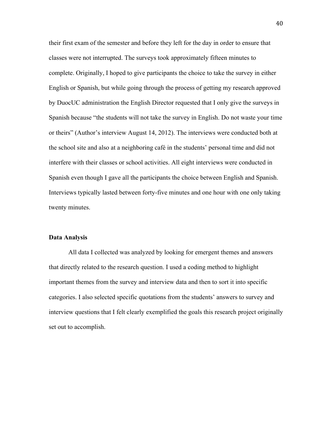their first exam of the semester and before they left for the day in order to ensure that classes were not interrupted. The surveys took approximately fifteen minutes to complete. Originally, I hoped to give participants the choice to take the survey in either English or Spanish, but while going through the process of getting my research approved by DuocUC administration the English Director requested that I only give the surveys in Spanish because "the students will not take the survey in English. Do not waste your time or theirs" (Author's interview August 14, 2012). The interviews were conducted both at the school site and also at a neighboring café in the students' personal time and did not interfere with their classes or school activities. All eight interviews were conducted in Spanish even though I gave all the participants the choice between English and Spanish. Interviews typically lasted between forty-five minutes and one hour with one only taking twenty minutes.

# **Data Analysis**

All data I collected was analyzed by looking for emergent themes and answers that directly related to the research question. I used a coding method to highlight important themes from the survey and interview data and then to sort it into specific categories. I also selected specific quotations from the students' answers to survey and interview questions that I felt clearly exemplified the goals this research project originally set out to accomplish.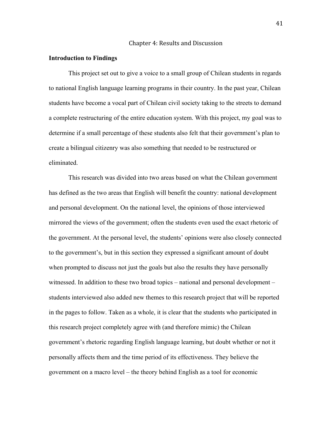### Chapter
4:
Results
and
Discussion

### **Introduction to Findings**

This project set out to give a voice to a small group of Chilean students in regards to national English language learning programs in their country. In the past year, Chilean students have become a vocal part of Chilean civil society taking to the streets to demand a complete restructuring of the entire education system. With this project, my goal was to determine if a small percentage of these students also felt that their government's plan to create a bilingual citizenry was also something that needed to be restructured or eliminated.

This research was divided into two areas based on what the Chilean government has defined as the two areas that English will benefit the country: national development and personal development. On the national level, the opinions of those interviewed mirrored the views of the government; often the students even used the exact rhetoric of the government. At the personal level, the students' opinions were also closely connected to the government's, but in this section they expressed a significant amount of doubt when prompted to discuss not just the goals but also the results they have personally witnessed. In addition to these two broad topics – national and personal development – students interviewed also added new themes to this research project that will be reported in the pages to follow. Taken as a whole, it is clear that the students who participated in this research project completely agree with (and therefore mimic) the Chilean government's rhetoric regarding English language learning, but doubt whether or not it personally affects them and the time period of its effectiveness. They believe the government on a macro level – the theory behind English as a tool for economic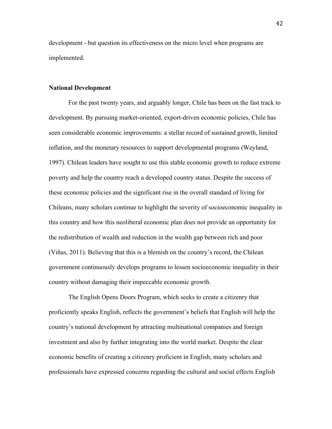development - but question its effectiveness on the micro level when programs are implemented.

# **National Development**

For the past twenty years, and arguably longer, Chile has been on the fast track to development. By pursuing market-oriented, export-driven economic policies, Chile has seen considerable economic improvements: a stellar record of sustained growth, limited inflation, and the monetary resources to support developmental programs (Weyland, 1997). Chilean leaders have sought to use this stable economic growth to reduce extreme poverty and help the country reach a developed country status. Despite the success of these economic policies and the significant rise in the overall standard of living for Chileans, many scholars continue to highlight the severity of socioeconomic inequality in this country and how this neoliberal economic plan does not provide an opportunity for the redistribution of wealth and reduction in the wealth gap between rich and poor (Viñas, 2011). Believing that this is a blemish on the country's record, the Chilean government continuously develops programs to lessen socioeconomic inequality in their country without damaging their impeccable economic growth.

The English Opens Doors Program, which seeks to create a citizenry that proficiently speaks English, reflects the government's beliefs that English will help the country's national development by attracting multinational companies and foreign investment and also by further integrating into the world market. Despite the clear economic benefits of creating a citizenry proficient in English, many scholars and professionals have expressed concerns regarding the cultural and social effects English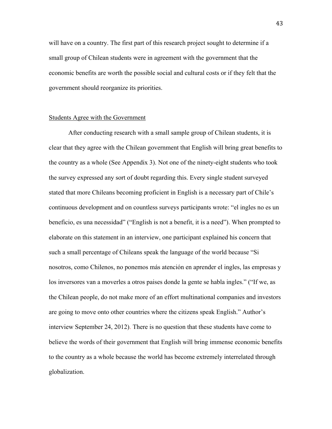will have on a country. The first part of this research project sought to determine if a small group of Chilean students were in agreement with the government that the economic benefits are worth the possible social and cultural costs or if they felt that the government should reorganize its priorities.

# Students Agree with the Government

After conducting research with a small sample group of Chilean students, it is clear that they agree with the Chilean government that English will bring great benefits to the country as a whole (See Appendix 3). Not one of the ninety-eight students who took the survey expressed any sort of doubt regarding this. Every single student surveyed stated that more Chileans becoming proficient in English is a necessary part of Chile's continuous development and on countless surveys participants wrote: "el ingles no es un beneficio, es una necessidad" ("English is not a benefit, it is a need"). When prompted to elaborate on this statement in an interview, one participant explained his concern that such a small percentage of Chileans speak the language of the world because "Si nosotros, como Chilenos, no ponemos más atención en aprender el ingles, las empresas y los inversores van a moverles a otros paises donde la gente se habla ingles." ("If we, as the Chilean people, do not make more of an effort multinational companies and investors are going to move onto other countries where the citizens speak English." Author's interview September 24, 2012). There is no question that these students have come to believe the words of their government that English will bring immense economic benefits to the country as a whole because the world has become extremely interrelated through globalization.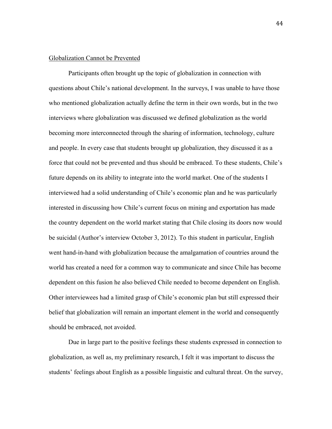# Globalization Cannot be Prevented

Participants often brought up the topic of globalization in connection with questions about Chile's national development. In the surveys, I was unable to have those who mentioned globalization actually define the term in their own words, but in the two interviews where globalization was discussed we defined globalization as the world becoming more interconnected through the sharing of information, technology, culture and people. In every case that students brought up globalization, they discussed it as a force that could not be prevented and thus should be embraced. To these students, Chile's future depends on its ability to integrate into the world market. One of the students I interviewed had a solid understanding of Chile's economic plan and he was particularly interested in discussing how Chile's current focus on mining and exportation has made the country dependent on the world market stating that Chile closing its doors now would be suicidal (Author's interview October 3, 2012). To this student in particular, English went hand-in-hand with globalization because the amalgamation of countries around the world has created a need for a common way to communicate and since Chile has become dependent on this fusion he also believed Chile needed to become dependent on English. Other interviewees had a limited grasp of Chile's economic plan but still expressed their belief that globalization will remain an important element in the world and consequently should be embraced, not avoided.

Due in large part to the positive feelings these students expressed in connection to globalization, as well as, my preliminary research, I felt it was important to discuss the students' feelings about English as a possible linguistic and cultural threat. On the survey,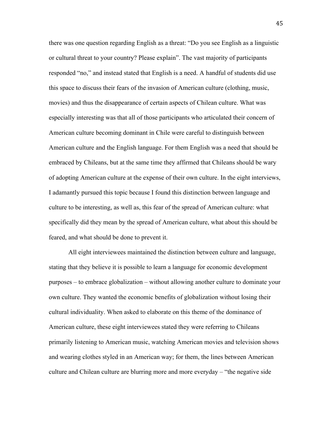there was one question regarding English as a threat: "Do you see English as a linguistic or cultural threat to your country? Please explain". The vast majority of participants responded "no," and instead stated that English is a need. A handful of students did use this space to discuss their fears of the invasion of American culture (clothing, music, movies) and thus the disappearance of certain aspects of Chilean culture. What was especially interesting was that all of those participants who articulated their concern of American culture becoming dominant in Chile were careful to distinguish between American culture and the English language. For them English was a need that should be embraced by Chileans, but at the same time they affirmed that Chileans should be wary of adopting American culture at the expense of their own culture. In the eight interviews, I adamantly pursued this topic because I found this distinction between language and culture to be interesting, as well as, this fear of the spread of American culture: what specifically did they mean by the spread of American culture, what about this should be feared, and what should be done to prevent it.

All eight interviewees maintained the distinction between culture and language, stating that they believe it is possible to learn a language for economic development purposes – to embrace globalization – without allowing another culture to dominate your own culture. They wanted the economic benefits of globalization without losing their cultural individuality. When asked to elaborate on this theme of the dominance of American culture, these eight interviewees stated they were referring to Chileans primarily listening to American music, watching American movies and television shows and wearing clothes styled in an American way; for them, the lines between American culture and Chilean culture are blurring more and more everyday – "the negative side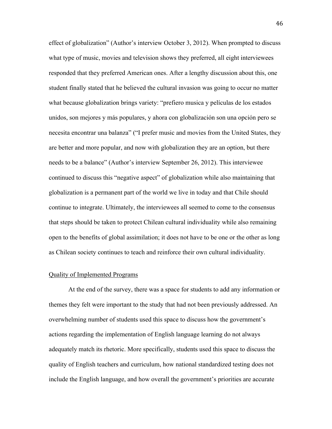effect of globalization" (Author's interview October 3, 2012). When prompted to discuss what type of music, movies and television shows they preferred, all eight interviewees responded that they preferred American ones. After a lengthy discussion about this, one student finally stated that he believed the cultural invasion was going to occur no matter what because globalization brings variety: "prefiero musica y películas de los estados unidos, son mejores y más populares, y ahora con globalización son una opción pero se necesita encontrar una balanza" ("I prefer music and movies from the United States, they are better and more popular, and now with globalization they are an option, but there needs to be a balance" (Author's interview September 26, 2012). This interviewee continued to discuss this "negative aspect" of globalization while also maintaining that globalization is a permanent part of the world we live in today and that Chile should continue to integrate. Ultimately, the interviewees all seemed to come to the consensus that steps should be taken to protect Chilean cultural individuality while also remaining open to the benefits of global assimilation; it does not have to be one or the other as long as Chilean society continues to teach and reinforce their own cultural individuality.

### Quality of Implemented Programs

At the end of the survey, there was a space for students to add any information or themes they felt were important to the study that had not been previously addressed. An overwhelming number of students used this space to discuss how the government's actions regarding the implementation of English language learning do not always adequately match its rhetoric. More specifically, students used this space to discuss the quality of English teachers and curriculum, how national standardized testing does not include the English language, and how overall the government's priorities are accurate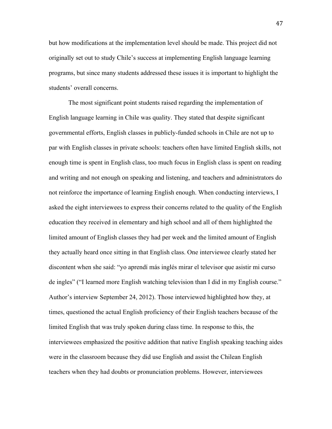but how modifications at the implementation level should be made. This project did not originally set out to study Chile's success at implementing English language learning programs, but since many students addressed these issues it is important to highlight the students' overall concerns.

The most significant point students raised regarding the implementation of English language learning in Chile was quality. They stated that despite significant governmental efforts, English classes in publicly-funded schools in Chile are not up to par with English classes in private schools: teachers often have limited English skills, not enough time is spent in English class, too much focus in English class is spent on reading and writing and not enough on speaking and listening, and teachers and administrators do not reinforce the importance of learning English enough. When conducting interviews, I asked the eight interviewees to express their concerns related to the quality of the English education they received in elementary and high school and all of them highlighted the limited amount of English classes they had per week and the limited amount of English they actually heard once sitting in that English class. One interviewee clearly stated her discontent when she said: "yo aprendí más inglés mirar el televisor que asistir mi curso de ingles" ("I learned more English watching television than I did in my English course." Author's interview September 24, 2012). Those interviewed highlighted how they, at times, questioned the actual English proficiency of their English teachers because of the limited English that was truly spoken during class time. In response to this, the interviewees emphasized the positive addition that native English speaking teaching aides were in the classroom because they did use English and assist the Chilean English teachers when they had doubts or pronunciation problems. However, interviewees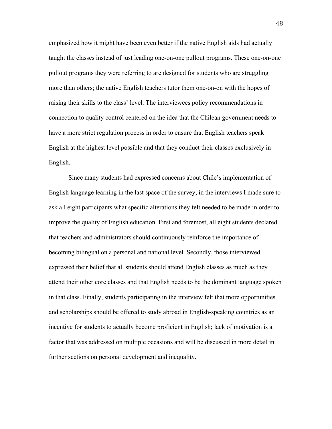emphasized how it might have been even better if the native English aids had actually taught the classes instead of just leading one-on-one pullout programs. These one-on-one pullout programs they were referring to are designed for students who are struggling more than others; the native English teachers tutor them one-on-on with the hopes of raising their skills to the class' level. The interviewees policy recommendations in connection to quality control centered on the idea that the Chilean government needs to have a more strict regulation process in order to ensure that English teachers speak English at the highest level possible and that they conduct their classes exclusively in English.

Since many students had expressed concerns about Chile's implementation of English language learning in the last space of the survey, in the interviews I made sure to ask all eight participants what specific alterations they felt needed to be made in order to improve the quality of English education. First and foremost, all eight students declared that teachers and administrators should continuously reinforce the importance of becoming bilingual on a personal and national level. Secondly, those interviewed expressed their belief that all students should attend English classes as much as they attend their other core classes and that English needs to be the dominant language spoken in that class. Finally, students participating in the interview felt that more opportunities and scholarships should be offered to study abroad in English-speaking countries as an incentive for students to actually become proficient in English; lack of motivation is a factor that was addressed on multiple occasions and will be discussed in more detail in further sections on personal development and inequality.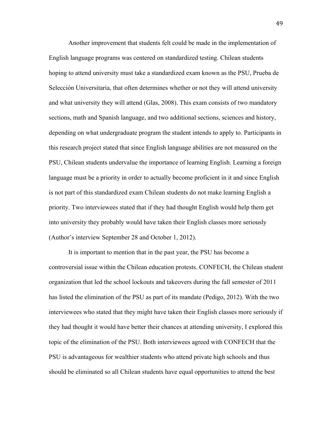Another improvement that students felt could be made in the implementation of English language programs was centered on standardized testing. Chilean students hoping to attend university must take a standardized exam known as the PSU, Prueba de Selección Universitaria, that often determines whether or not they will attend university and what university they will attend (Glas, 2008). This exam consists of two mandatory sections, math and Spanish language, and two additional sections, sciences and history, depending on what undergraduate program the student intends to apply to. Participants in this research project stated that since English language abilities are not measured on the PSU, Chilean students undervalue the importance of learning English. Learning a foreign language must be a priority in order to actually become proficient in it and since English is not part of this standardized exam Chilean students do not make learning English a priority. Two interviewees stated that if they had thought English would help them get into university they probably would have taken their English classes more seriously (Author's interview September 28 and October 1, 2012).

It is important to mention that in the past year, the PSU has become a controversial issue within the Chilean education protests. CONFECH, the Chilean student organization that led the school lockouts and takeovers during the fall semester of 2011 has listed the elimination of the PSU as part of its mandate (Pedigo, 2012). With the two interviewees who stated that they might have taken their English classes more seriously if they had thought it would have better their chances at attending university, I explored this topic of the elimination of the PSU. Both interviewees agreed with CONFECH that the PSU is advantageous for wealthier students who attend private high schools and thus should be eliminated so all Chilean students have equal opportunities to attend the best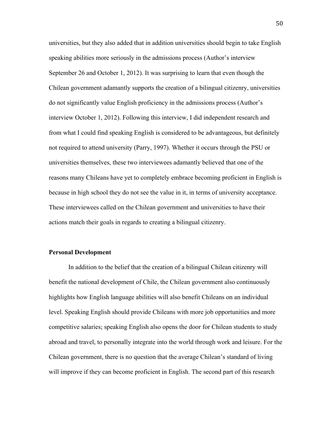universities, but they also added that in addition universities should begin to take English speaking abilities more seriously in the admissions process (Author's interview September 26 and October 1, 2012). It was surprising to learn that even though the Chilean government adamantly supports the creation of a bilingual citizenry, universities do not significantly value English proficiency in the admissions process (Author's interview October 1, 2012). Following this interview, I did independent research and from what I could find speaking English is considered to be advantageous, but definitely not required to attend university (Parry, 1997). Whether it occurs through the PSU or universities themselves, these two interviewees adamantly believed that one of the reasons many Chileans have yet to completely embrace becoming proficient in English is because in high school they do not see the value in it, in terms of university acceptance. These interviewees called on the Chilean government and universities to have their actions match their goals in regards to creating a bilingual citizenry.

# **Personal Development**

In addition to the belief that the creation of a bilingual Chilean citizenry will benefit the national development of Chile, the Chilean government also continuously highlights how English language abilities will also benefit Chileans on an individual level. Speaking English should provide Chileans with more job opportunities and more competitive salaries; speaking English also opens the door for Chilean students to study abroad and travel, to personally integrate into the world through work and leisure. For the Chilean government, there is no question that the average Chilean's standard of living will improve if they can become proficient in English. The second part of this research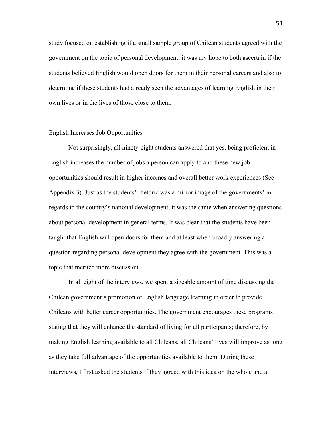study focused on establishing if a small sample group of Chilean students agreed with the government on the topic of personal development; it was my hope to both ascertain if the students believed English would open doors for them in their personal careers and also to determine if these students had already seen the advantages of learning English in their own lives or in the lives of those close to them.

### English Increases Job Opportunities

Not surprisingly, all ninety-eight students answered that yes, being proficient in English increases the number of jobs a person can apply to and these new job opportunities should result in higher incomes and overall better work experiences (See Appendix 3). Just as the students' rhetoric was a mirror image of the governments' in regards to the country's national development, it was the same when answering questions about personal development in general terms. It was clear that the students have been taught that English will open doors for them and at least when broadly answering a question regarding personal development they agree with the government. This was a topic that merited more discussion.

In all eight of the interviews, we spent a sizeable amount of time discussing the Chilean government's promotion of English language learning in order to provide Chileans with better career opportunities. The government encourages these programs stating that they will enhance the standard of living for all participants; therefore, by making English learning available to all Chileans, all Chileans' lives will improve as long as they take full advantage of the opportunities available to them. During these interviews, I first asked the students if they agreed with this idea on the whole and all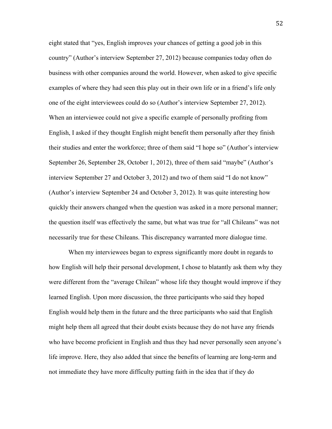eight stated that "yes, English improves your chances of getting a good job in this country" (Author's interview September 27, 2012) because companies today often do business with other companies around the world. However, when asked to give specific examples of where they had seen this play out in their own life or in a friend's life only one of the eight interviewees could do so (Author's interview September 27, 2012). When an interviewee could not give a specific example of personally profiting from English, I asked if they thought English might benefit them personally after they finish their studies and enter the workforce; three of them said "I hope so" (Author's interview September 26, September 28, October 1, 2012), three of them said "maybe" (Author's interview September 27 and October 3, 2012) and two of them said "I do not know" (Author's interview September 24 and October 3, 2012). It was quite interesting how quickly their answers changed when the question was asked in a more personal manner; the question itself was effectively the same, but what was true for "all Chileans" was not necessarily true for these Chileans. This discrepancy warranted more dialogue time.

When my interviewees began to express significantly more doubt in regards to how English will help their personal development, I chose to blatantly ask them why they were different from the "average Chilean" whose life they thought would improve if they learned English. Upon more discussion, the three participants who said they hoped English would help them in the future and the three participants who said that English might help them all agreed that their doubt exists because they do not have any friends who have become proficient in English and thus they had never personally seen anyone's life improve. Here, they also added that since the benefits of learning are long-term and not immediate they have more difficulty putting faith in the idea that if they do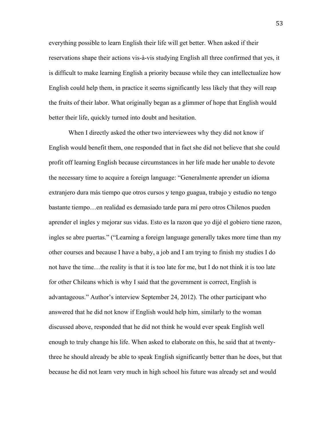everything possible to learn English their life will get better. When asked if their reservations shape their actions vis-à-vis studying English all three confirmed that yes, it is difficult to make learning English a priority because while they can intellectualize how English could help them, in practice it seems significantly less likely that they will reap the fruits of their labor. What originally began as a glimmer of hope that English would better their life, quickly turned into doubt and hesitation.

When I directly asked the other two interviewees why they did not know if English would benefit them, one responded that in fact she did not believe that she could profit off learning English because circumstances in her life made her unable to devote the necessary time to acquire a foreign language: "Generalmente aprender un idioma extranjero dura más tiempo que otros cursos y tengo guagua, trabajo y estudio no tengo bastante tiempo…en realidad es demasiado tarde para mí pero otros Chilenos pueden aprender el ingles y mejorar sus vidas. Esto es la razon que yo dijé el gobiero tiene razon, ingles se abre puertas." ("Learning a foreign language generally takes more time than my other courses and because I have a baby, a job and I am trying to finish my studies I do not have the time…the reality is that it is too late for me, but I do not think it is too late for other Chileans which is why I said that the government is correct, English is advantageous." Author's interview September 24, 2012). The other participant who answered that he did not know if English would help him, similarly to the woman discussed above, responded that he did not think he would ever speak English well enough to truly change his life. When asked to elaborate on this, he said that at twentythree he should already be able to speak English significantly better than he does, but that because he did not learn very much in high school his future was already set and would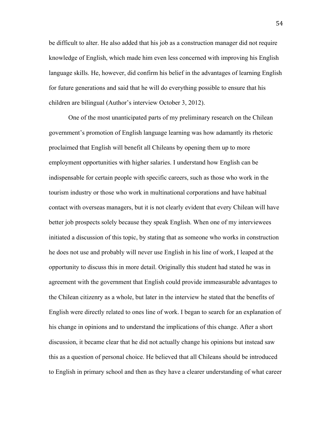be difficult to alter. He also added that his job as a construction manager did not require knowledge of English, which made him even less concerned with improving his English language skills. He, however, did confirm his belief in the advantages of learning English for future generations and said that he will do everything possible to ensure that his children are bilingual (Author's interview October 3, 2012).

One of the most unanticipated parts of my preliminary research on the Chilean government's promotion of English language learning was how adamantly its rhetoric proclaimed that English will benefit all Chileans by opening them up to more employment opportunities with higher salaries. I understand how English can be indispensable for certain people with specific careers, such as those who work in the tourism industry or those who work in multinational corporations and have habitual contact with overseas managers, but it is not clearly evident that every Chilean will have better job prospects solely because they speak English. When one of my interviewees initiated a discussion of this topic, by stating that as someone who works in construction he does not use and probably will never use English in his line of work, I leaped at the opportunity to discuss this in more detail. Originally this student had stated he was in agreement with the government that English could provide immeasurable advantages to the Chilean citizenry as a whole, but later in the interview he stated that the benefits of English were directly related to ones line of work. I began to search for an explanation of his change in opinions and to understand the implications of this change. After a short discussion, it became clear that he did not actually change his opinions but instead saw this as a question of personal choice. He believed that all Chileans should be introduced to English in primary school and then as they have a clearer understanding of what career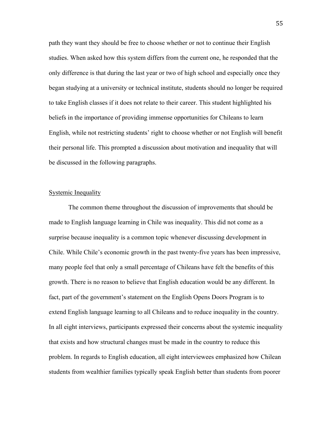path they want they should be free to choose whether or not to continue their English studies. When asked how this system differs from the current one, he responded that the only difference is that during the last year or two of high school and especially once they began studying at a university or technical institute, students should no longer be required to take English classes if it does not relate to their career. This student highlighted his beliefs in the importance of providing immense opportunities for Chileans to learn English, while not restricting students' right to choose whether or not English will benefit their personal life. This prompted a discussion about motivation and inequality that will be discussed in the following paragraphs.

### Systemic Inequality

The common theme throughout the discussion of improvements that should be made to English language learning in Chile was inequality. This did not come as a surprise because inequality is a common topic whenever discussing development in Chile. While Chile's economic growth in the past twenty-five years has been impressive, many people feel that only a small percentage of Chileans have felt the benefits of this growth. There is no reason to believe that English education would be any different. In fact, part of the government's statement on the English Opens Doors Program is to extend English language learning to all Chileans and to reduce inequality in the country. In all eight interviews, participants expressed their concerns about the systemic inequality that exists and how structural changes must be made in the country to reduce this problem. In regards to English education, all eight interviewees emphasized how Chilean students from wealthier families typically speak English better than students from poorer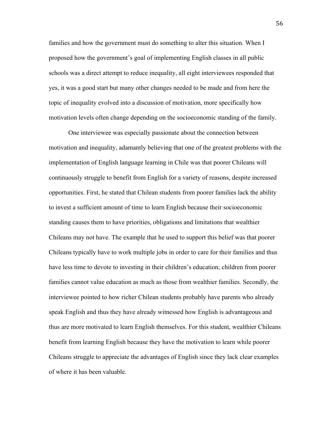families and how the government must do something to alter this situation. When I proposed how the government's goal of implementing English classes in all public schools was a direct attempt to reduce inequality, all eight interviewees responded that yes, it was a good start but many other changes needed to be made and from here the topic of inequality evolved into a discussion of motivation, more specifically how motivation levels often change depending on the socioeconomic standing of the family.

One interviewee was especially passionate about the connection between motivation and inequality, adamantly believing that one of the greatest problems with the implementation of English language learning in Chile was that poorer Chileans will continuously struggle to benefit from English for a variety of reasons, despite increased opportunities. First, he stated that Chilean students from poorer families lack the ability to invest a sufficient amount of time to learn English because their socioeconomic standing causes them to have priorities, obligations and limitations that wealthier Chileans may not have. The example that he used to support this belief was that poorer Chileans typically have to work multiple jobs in order to care for their families and thus have less time to devote to investing in their children's education; children from poorer families cannot value education as much as those from wealthier families. Secondly, the interviewee pointed to how richer Chilean students probably have parents who already speak English and thus they have already witnessed how English is advantageous and thus are more motivated to learn English themselves. For this student, wealthier Chileans benefit from learning English because they have the motivation to learn while poorer Chileans struggle to appreciate the advantages of English since they lack clear examples of where it has been valuable.

56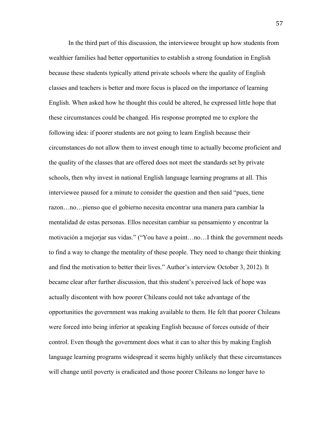In the third part of this discussion, the interviewee brought up how students from wealthier families had better opportunities to establish a strong foundation in English because these students typically attend private schools where the quality of English classes and teachers is better and more focus is placed on the importance of learning English. When asked how he thought this could be altered, he expressed little hope that these circumstances could be changed. His response prompted me to explore the following idea: if poorer students are not going to learn English because their circumstances do not allow them to invest enough time to actually become proficient and the quality of the classes that are offered does not meet the standards set by private schools, then why invest in national English language learning programs at all. This interviewee paused for a minute to consider the question and then said "pues, tiene razon…no…pienso que el gobierno necesita encontrar una manera para cambiar la mentalidad de estas personas. Ellos necesitan cambiar su pensamiento y encontrar la motivación a mejorjar sus vidas." ("You have a point…no…I think the government needs to find a way to change the mentality of these people. They need to change their thinking and find the motivation to better their lives." Author's interview October 3, 2012). It became clear after further discussion, that this student's perceived lack of hope was actually discontent with how poorer Chileans could not take advantage of the opportunities the government was making available to them. He felt that poorer Chileans were forced into being inferior at speaking English because of forces outside of their control. Even though the government does what it can to alter this by making English language learning programs widespread it seems highly unlikely that these circumstances will change until poverty is eradicated and those poorer Chileans no longer have to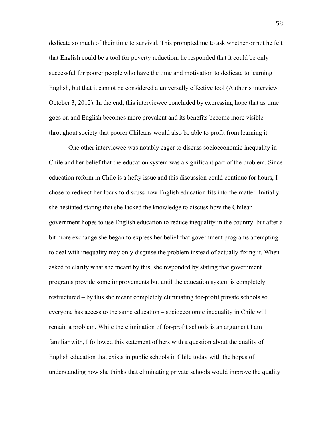dedicate so much of their time to survival. This prompted me to ask whether or not he felt that English could be a tool for poverty reduction; he responded that it could be only successful for poorer people who have the time and motivation to dedicate to learning English, but that it cannot be considered a universally effective tool (Author's interview October 3, 2012). In the end, this interviewee concluded by expressing hope that as time goes on and English becomes more prevalent and its benefits become more visible throughout society that poorer Chileans would also be able to profit from learning it.

One other interviewee was notably eager to discuss socioeconomic inequality in Chile and her belief that the education system was a significant part of the problem. Since education reform in Chile is a hefty issue and this discussion could continue for hours, I chose to redirect her focus to discuss how English education fits into the matter. Initially she hesitated stating that she lacked the knowledge to discuss how the Chilean government hopes to use English education to reduce inequality in the country, but after a bit more exchange she began to express her belief that government programs attempting to deal with inequality may only disguise the problem instead of actually fixing it. When asked to clarify what she meant by this, she responded by stating that government programs provide some improvements but until the education system is completely restructured – by this she meant completely eliminating for-profit private schools so everyone has access to the same education – socioeconomic inequality in Chile will remain a problem. While the elimination of for-profit schools is an argument I am familiar with, I followed this statement of hers with a question about the quality of English education that exists in public schools in Chile today with the hopes of understanding how she thinks that eliminating private schools would improve the quality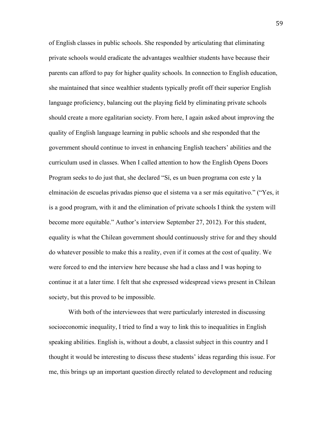of English classes in public schools. She responded by articulating that eliminating private schools would eradicate the advantages wealthier students have because their parents can afford to pay for higher quality schools. In connection to English education, she maintained that since wealthier students typically profit off their superior English language proficiency, balancing out the playing field by eliminating private schools should create a more egalitarian society. From here, I again asked about improving the quality of English language learning in public schools and she responded that the government should continue to invest in enhancing English teachers' abilities and the curriculum used in classes. When I called attention to how the English Opens Doors Program seeks to do just that, she declared "Sí, es un buen programa con este y la elminación de escuelas privadas pienso que el sistema va a ser más equitativo." ("Yes, it is a good program, with it and the elimination of private schools I think the system will become more equitable." Author's interview September 27, 2012). For this student, equality is what the Chilean government should continuously strive for and they should do whatever possible to make this a reality, even if it comes at the cost of quality. We were forced to end the interview here because she had a class and I was hoping to continue it at a later time. I felt that she expressed widespread views present in Chilean society, but this proved to be impossible.

With both of the interviewees that were particularly interested in discussing socioeconomic inequality, I tried to find a way to link this to inequalities in English speaking abilities. English is, without a doubt, a classist subject in this country and I thought it would be interesting to discuss these students' ideas regarding this issue. For me, this brings up an important question directly related to development and reducing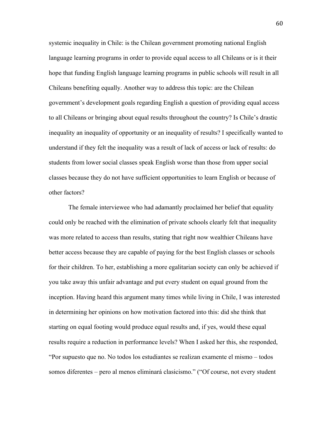systemic inequality in Chile: is the Chilean government promoting national English language learning programs in order to provide equal access to all Chileans or is it their hope that funding English language learning programs in public schools will result in all Chileans benefiting equally. Another way to address this topic: are the Chilean government's development goals regarding English a question of providing equal access to all Chileans or bringing about equal results throughout the country? Is Chile's drastic inequality an inequality of opportunity or an inequality of results? I specifically wanted to understand if they felt the inequality was a result of lack of access or lack of results: do students from lower social classes speak English worse than those from upper social classes because they do not have sufficient opportunities to learn English or because of other factors?

The female interviewee who had adamantly proclaimed her belief that equality could only be reached with the elimination of private schools clearly felt that inequality was more related to access than results, stating that right now wealthier Chileans have better access because they are capable of paying for the best English classes or schools for their children. To her, establishing a more egalitarian society can only be achieved if you take away this unfair advantage and put every student on equal ground from the inception. Having heard this argument many times while living in Chile, I was interested in determining her opinions on how motivation factored into this: did she think that starting on equal footing would produce equal results and, if yes, would these equal results require a reduction in performance levels? When I asked her this, she responded, "Por supuesto que no. No todos los estudiantes se realizan examente el mismo – todos somos diferentes – pero al menos eliminará clasicismo." ("Of course, not every student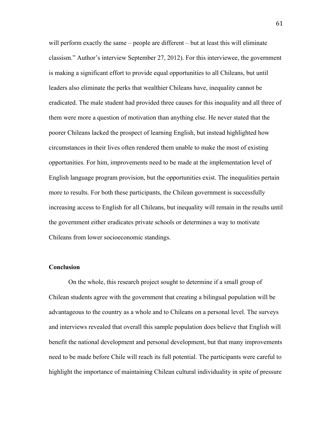will perform exactly the same – people are different – but at least this will eliminate classism." Author's interview September 27, 2012). For this interviewee, the government is making a significant effort to provide equal opportunities to all Chileans, but until leaders also eliminate the perks that wealthier Chileans have, inequality cannot be eradicated. The male student had provided three causes for this inequality and all three of them were more a question of motivation than anything else. He never stated that the poorer Chileans lacked the prospect of learning English, but instead highlighted how circumstances in their lives often rendered them unable to make the most of existing opportunities. For him, improvements need to be made at the implementation level of English language program provision, but the opportunities exist. The inequalities pertain more to results. For both these participants, the Chilean government is successfully increasing access to English for all Chileans, but inequality will remain in the results until the government either eradicates private schools or determines a way to motivate Chileans from lower socioeconomic standings.

# **Conclusion**

On the whole, this research project sought to determine if a small group of Chilean students agree with the government that creating a bilingual population will be advantageous to the country as a whole and to Chileans on a personal level. The surveys and interviews revealed that overall this sample population does believe that English will benefit the national development and personal development, but that many improvements need to be made before Chile will reach its full potential. The participants were careful to highlight the importance of maintaining Chilean cultural individuality in spite of pressure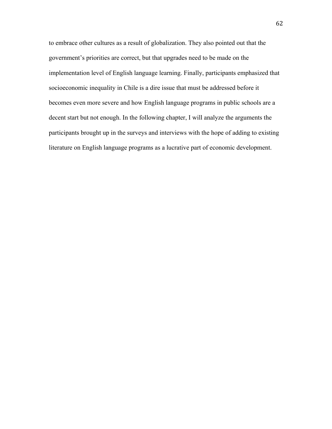to embrace other cultures as a result of globalization. They also pointed out that the government's priorities are correct, but that upgrades need to be made on the implementation level of English language learning. Finally, participants emphasized that socioeconomic inequality in Chile is a dire issue that must be addressed before it becomes even more severe and how English language programs in public schools are a decent start but not enough. In the following chapter, I will analyze the arguments the participants brought up in the surveys and interviews with the hope of adding to existing literature on English language programs as a lucrative part of economic development.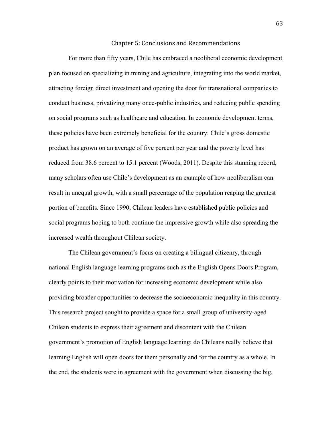#### Chapter
5:
Conclusions
and
Recommendations

For more than fifty years, Chile has embraced a neoliberal economic development plan focused on specializing in mining and agriculture, integrating into the world market, attracting foreign direct investment and opening the door for transnational companies to conduct business, privatizing many once-public industries, and reducing public spending on social programs such as healthcare and education. In economic development terms, these policies have been extremely beneficial for the country: Chile's gross domestic product has grown on an average of five percent per year and the poverty level has reduced from 38.6 percent to 15.1 percent (Woods, 2011). Despite this stunning record, many scholars often use Chile's development as an example of how neoliberalism can result in unequal growth, with a small percentage of the population reaping the greatest portion of benefits. Since 1990, Chilean leaders have established public policies and social programs hoping to both continue the impressive growth while also spreading the increased wealth throughout Chilean society.

The Chilean government's focus on creating a bilingual citizenry, through national English language learning programs such as the English Opens Doors Program, clearly points to their motivation for increasing economic development while also providing broader opportunities to decrease the socioeconomic inequality in this country. This research project sought to provide a space for a small group of university-aged Chilean students to express their agreement and discontent with the Chilean government's promotion of English language learning: do Chileans really believe that learning English will open doors for them personally and for the country as a whole. In the end, the students were in agreement with the government when discussing the big,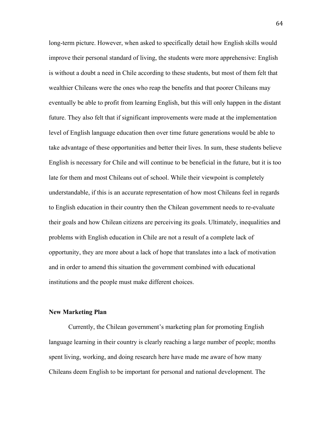long-term picture. However, when asked to specifically detail how English skills would improve their personal standard of living, the students were more apprehensive: English is without a doubt a need in Chile according to these students, but most of them felt that wealthier Chileans were the ones who reap the benefits and that poorer Chileans may eventually be able to profit from learning English, but this will only happen in the distant future. They also felt that if significant improvements were made at the implementation level of English language education then over time future generations would be able to take advantage of these opportunities and better their lives. In sum, these students believe English is necessary for Chile and will continue to be beneficial in the future, but it is too late for them and most Chileans out of school. While their viewpoint is completely understandable, if this is an accurate representation of how most Chileans feel in regards to English education in their country then the Chilean government needs to re-evaluate their goals and how Chilean citizens are perceiving its goals. Ultimately, inequalities and problems with English education in Chile are not a result of a complete lack of opportunity, they are more about a lack of hope that translates into a lack of motivation and in order to amend this situation the government combined with educational institutions and the people must make different choices.

#### **New Marketing Plan**

Currently, the Chilean government's marketing plan for promoting English language learning in their country is clearly reaching a large number of people; months spent living, working, and doing research here have made me aware of how many Chileans deem English to be important for personal and national development. The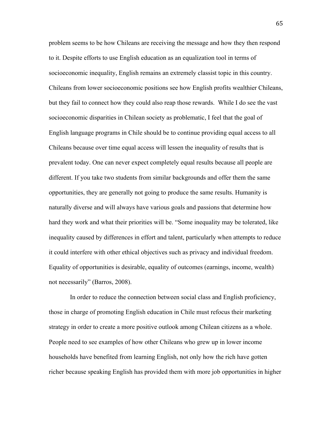problem seems to be how Chileans are receiving the message and how they then respond to it. Despite efforts to use English education as an equalization tool in terms of socioeconomic inequality, English remains an extremely classist topic in this country. Chileans from lower socioeconomic positions see how English profits wealthier Chileans, but they fail to connect how they could also reap those rewards. While I do see the vast socioeconomic disparities in Chilean society as problematic, I feel that the goal of English language programs in Chile should be to continue providing equal access to all Chileans because over time equal access will lessen the inequality of results that is prevalent today. One can never expect completely equal results because all people are different. If you take two students from similar backgrounds and offer them the same opportunities, they are generally not going to produce the same results. Humanity is naturally diverse and will always have various goals and passions that determine how hard they work and what their priorities will be. "Some inequality may be tolerated, like inequality caused by differences in effort and talent, particularly when attempts to reduce it could interfere with other ethical objectives such as privacy and individual freedom. Equality of opportunities is desirable, equality of outcomes (earnings, income, wealth) not necessarily" (Barros, 2008).

 In order to reduce the connection between social class and English proficiency, those in charge of promoting English education in Chile must refocus their marketing strategy in order to create a more positive outlook among Chilean citizens as a whole. People need to see examples of how other Chileans who grew up in lower income households have benefited from learning English, not only how the rich have gotten richer because speaking English has provided them with more job opportunities in higher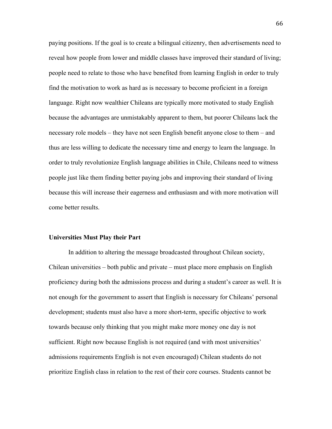paying positions. If the goal is to create a bilingual citizenry, then advertisements need to reveal how people from lower and middle classes have improved their standard of living; people need to relate to those who have benefited from learning English in order to truly find the motivation to work as hard as is necessary to become proficient in a foreign language. Right now wealthier Chileans are typically more motivated to study English because the advantages are unmistakably apparent to them, but poorer Chileans lack the necessary role models – they have not seen English benefit anyone close to them – and thus are less willing to dedicate the necessary time and energy to learn the language. In order to truly revolutionize English language abilities in Chile, Chileans need to witness people just like them finding better paying jobs and improving their standard of living because this will increase their eagerness and enthusiasm and with more motivation will come better results.

#### **Universities Must Play their Part**

In addition to altering the message broadcasted throughout Chilean society, Chilean universities – both public and private – must place more emphasis on English proficiency during both the admissions process and during a student's career as well. It is not enough for the government to assert that English is necessary for Chileans' personal development; students must also have a more short-term, specific objective to work towards because only thinking that you might make more money one day is not sufficient. Right now because English is not required (and with most universities' admissions requirements English is not even encouraged) Chilean students do not prioritize English class in relation to the rest of their core courses. Students cannot be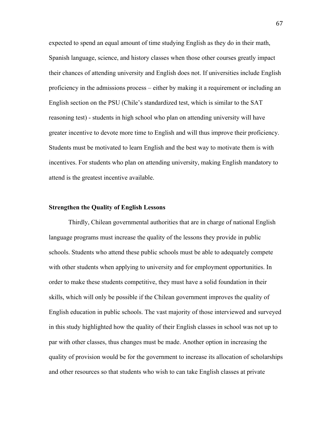expected to spend an equal amount of time studying English as they do in their math, Spanish language, science, and history classes when those other courses greatly impact their chances of attending university and English does not. If universities include English proficiency in the admissions process – either by making it a requirement or including an English section on the PSU (Chile's standardized test, which is similar to the SAT reasoning test) - students in high school who plan on attending university will have greater incentive to devote more time to English and will thus improve their proficiency. Students must be motivated to learn English and the best way to motivate them is with incentives. For students who plan on attending university, making English mandatory to attend is the greatest incentive available.

#### **Strengthen the Quality of English Lessons**

Thirdly, Chilean governmental authorities that are in charge of national English language programs must increase the quality of the lessons they provide in public schools. Students who attend these public schools must be able to adequately compete with other students when applying to university and for employment opportunities. In order to make these students competitive, they must have a solid foundation in their skills, which will only be possible if the Chilean government improves the quality of English education in public schools. The vast majority of those interviewed and surveyed in this study highlighted how the quality of their English classes in school was not up to par with other classes, thus changes must be made. Another option in increasing the quality of provision would be for the government to increase its allocation of scholarships and other resources so that students who wish to can take English classes at private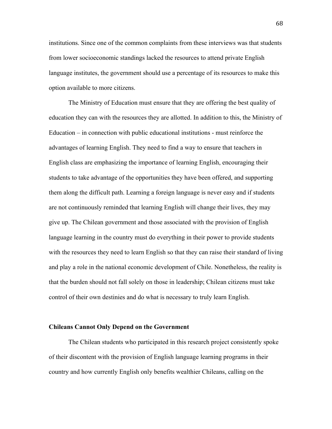institutions. Since one of the common complaints from these interviews was that students from lower socioeconomic standings lacked the resources to attend private English language institutes, the government should use a percentage of its resources to make this option available to more citizens.

The Ministry of Education must ensure that they are offering the best quality of education they can with the resources they are allotted. In addition to this, the Ministry of Education – in connection with public educational institutions - must reinforce the advantages of learning English. They need to find a way to ensure that teachers in English class are emphasizing the importance of learning English, encouraging their students to take advantage of the opportunities they have been offered, and supporting them along the difficult path. Learning a foreign language is never easy and if students are not continuously reminded that learning English will change their lives, they may give up. The Chilean government and those associated with the provision of English language learning in the country must do everything in their power to provide students with the resources they need to learn English so that they can raise their standard of living and play a role in the national economic development of Chile. Nonetheless, the reality is that the burden should not fall solely on those in leadership; Chilean citizens must take control of their own destinies and do what is necessary to truly learn English.

## **Chileans Cannot Only Depend on the Government**

The Chilean students who participated in this research project consistently spoke of their discontent with the provision of English language learning programs in their country and how currently English only benefits wealthier Chileans, calling on the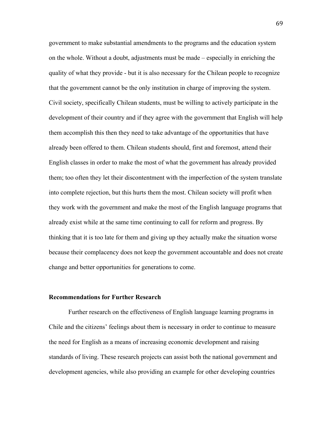government to make substantial amendments to the programs and the education system on the whole. Without a doubt, adjustments must be made – especially in enriching the quality of what they provide - but it is also necessary for the Chilean people to recognize that the government cannot be the only institution in charge of improving the system. Civil society, specifically Chilean students, must be willing to actively participate in the development of their country and if they agree with the government that English will help them accomplish this then they need to take advantage of the opportunities that have already been offered to them. Chilean students should, first and foremost, attend their English classes in order to make the most of what the government has already provided them; too often they let their discontentment with the imperfection of the system translate into complete rejection, but this hurts them the most. Chilean society will profit when they work with the government and make the most of the English language programs that already exist while at the same time continuing to call for reform and progress. By thinking that it is too late for them and giving up they actually make the situation worse because their complacency does not keep the government accountable and does not create change and better opportunities for generations to come.

#### **Recommendations for Further Research**

Further research on the effectiveness of English language learning programs in Chile and the citizens' feelings about them is necessary in order to continue to measure the need for English as a means of increasing economic development and raising standards of living. These research projects can assist both the national government and development agencies, while also providing an example for other developing countries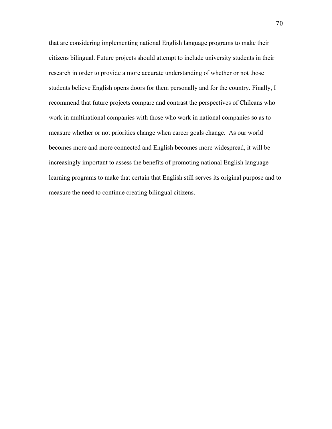that are considering implementing national English language programs to make their citizens bilingual. Future projects should attempt to include university students in their research in order to provide a more accurate understanding of whether or not those students believe English opens doors for them personally and for the country. Finally, I recommend that future projects compare and contrast the perspectives of Chileans who work in multinational companies with those who work in national companies so as to measure whether or not priorities change when career goals change. As our world becomes more and more connected and English becomes more widespread, it will be increasingly important to assess the benefits of promoting national English language learning programs to make that certain that English still serves its original purpose and to measure the need to continue creating bilingual citizens.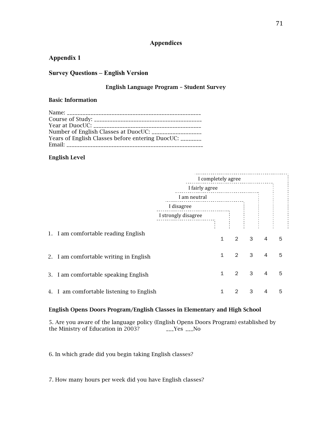## **Appendices**

## **Appendix 1**

## **Survey Questions – English Version**

## English Language Program – Student Survey

#### Basic Information

## English Level

|                                          |                                | I completely agree |              |                |   |   |   |  |
|------------------------------------------|--------------------------------|--------------------|--------------|----------------|---|---|---|--|
|                                          | I fairly agree<br>I am neutral |                    |              |                |   |   |   |  |
|                                          |                                |                    |              |                |   |   |   |  |
|                                          | I disagree                     |                    |              |                |   |   |   |  |
|                                          |                                |                    |              |                |   |   |   |  |
|                                          |                                |                    |              |                |   |   |   |  |
| 1. I am comfortable reading English      |                                |                    |              |                |   |   |   |  |
|                                          |                                |                    | 1            | $\mathcal{P}$  | 3 | 4 | 5 |  |
|                                          |                                |                    |              |                |   |   |   |  |
| 2. I am comfortable writing in English   |                                |                    | $\mathbf{1}$ | $\mathcal{P}$  | 3 | 4 | 5 |  |
| 3. I am comfortable speaking English     |                                |                    | 1            | $\overline{2}$ | 3 | 4 | 5 |  |
|                                          |                                |                    |              |                |   |   |   |  |
| 4. I am comfortable listening to English |                                |                    | 1            | 2              | 3 | 4 | 5 |  |
|                                          |                                |                    |              |                |   |   |   |  |

## English Opens Doors Program/English Classes in Elementary and High School

5. Are you aware of the language policy (English Opens Doors Program) established by the Ministry of Education in 2003?  $\qquad \qquad$  \_\_Yes \_\_No

6. In which grade did you begin taking English classes?

7. How many hours per week did you have English classes?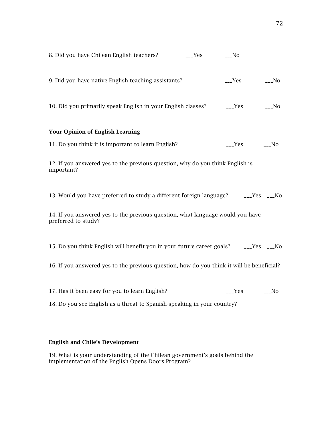| 8. Did you have Chilean English teachers?                                                             | $L_{--}$ Yes | $_{---}$ No         |             |
|-------------------------------------------------------------------------------------------------------|--------------|---------------------|-------------|
| 9. Did you have native English teaching assistants?                                                   |              | $L_{\text{--}}$ Yes | $_{---}$ No |
| 10. Did you primarily speak English in your English classes?                                          |              | $--Yes$             | $_{---}$ No |
| <b>Your Opinion of English Learning</b>                                                               |              |                     |             |
| 11. Do you think it is important to learn English?                                                    |              | $L^{\text{P}}$      | $_{--}$ No  |
| 12. If you answered yes to the previous question, why do you think English is<br>important?           |              |                     |             |
| 13. Would you have preferred to study a different foreign language? ______Yes ____No                  |              |                     |             |
| 14. If you answered yes to the previous question, what language would you have<br>preferred to study? |              |                     |             |
| 15. Do you think English will benefit you in your future career goals? _____Yes ____No                |              |                     |             |
| 16. If you answered yes to the previous question, how do you think it will be beneficial?             |              |                     |             |
|                                                                                                       |              |                     |             |
| 17. Has it been easy for you to learn English?                                                        |              | $_{--}$ Yes         | $-LN$       |
| 18. Do you see English as a threat to Spanish-speaking in your country?                               |              |                     |             |

## English and Chile's Development

19. What is your understanding of the Chilean government's goals behind the implementation of the English Opens Doors Program?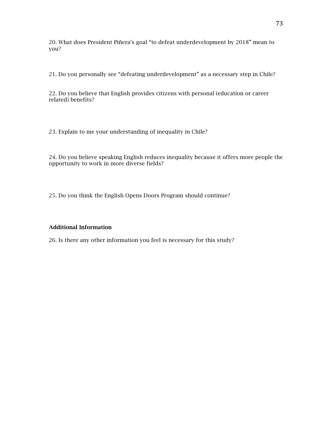20. What does President Piñera's goal "to defeat underdevelopment by 2018" mean to you?

21. Do you personally see "defeating underdevelopment" as a necessary step in Chile?

22. Do you believe that English provides citizens with personal (education or career related) benefits?

23. Explain to me your understanding of inequality in Chile?

24. Do you believe speaking English reduces inequality because it offers more people the opportunity to work in more diverse fields?

25. Do you think the English Opens Doors Program should continue?

#### Additional Information

26. Is there any other information you feel is necessary for this study?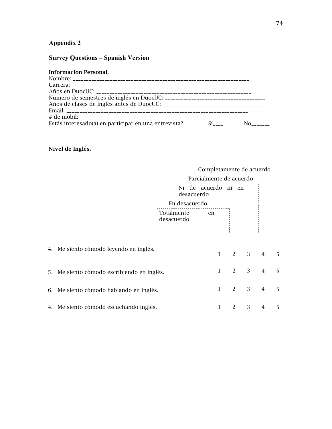# **Appendix 2**

# **Survey Questions – Spanish Version**

| Estás interesado(a) en participar en una entrevista? |  |  |
|------------------------------------------------------|--|--|

## Nivel de Inglés.

| Completamente de acuerdo                                                                                                                                                                                                           |   |  |  |  |
|------------------------------------------------------------------------------------------------------------------------------------------------------------------------------------------------------------------------------------|---|--|--|--|
| Parcialmente de acuerdo                                                                                                                                                                                                            |   |  |  |  |
| Ni de acuerdo ni en<br>desacuerdo                                                                                                                                                                                                  |   |  |  |  |
| En desacuerdo                                                                                                                                                                                                                      |   |  |  |  |
| Totalmente en desacuerdo.<br>Terminal de la propiedad de la propiedad de la propiedad de la propiedad de la propiedad de la propiedad de l<br>Terminal de la propiedad de la propiedad de la propiedad de la propiedad de la propi |   |  |  |  |
| 4. Me siento cómodo leyendo en inglés.<br>3<br>$\mathbf{1}$<br>$2 \quad$<br>$\overline{4}$                                                                                                                                         | 5 |  |  |  |
| 3<br>2<br>$\overline{4}$<br>1<br>5. Me siento cómodo escribiendo en inglés.                                                                                                                                                        | 5 |  |  |  |
| 3<br>1<br>2<br>$\overline{4}$<br>6. Me siento cómodo hablando en inglés.                                                                                                                                                           | 5 |  |  |  |
| 3<br>4. Me siento cómodo escuchando inglés.<br>2<br>4                                                                                                                                                                              | 5 |  |  |  |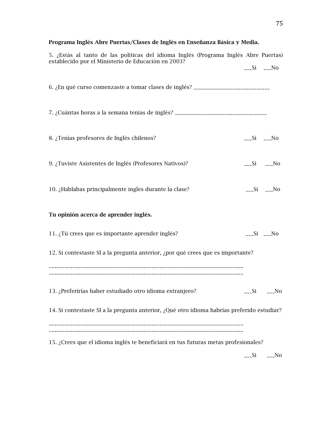# Programa Inglés Abre Puertas/Clases de Inglés en Enseñanza Básica y Media.

| $---Si$ $---No$<br>6. ¿En qué curso comenzaste a tomar clases de inglés? __________________________<br>7. ¿Cuántas horas a la semana tenías de inglés? ________________________________<br>8. ¿Tenías profesores de Inglés chilenos?<br>$-L$ Si $-L$ No<br>9. ¿Tuviste Asistentes de Inglés (Profesores Nativos)?<br>$--Si$ $---No$<br>10. ¿Hablabas principalmente ingles durante la clase?<br>$-L$ Si $-L$ No<br>Tu opinión acerca de aprender inglés.<br>11. ¿Tú crees que es importante aprender inglés?<br>$--Si$ $---No$<br>12. Si contestaste SI a la pregunta anterior, ¿por qué crees que es importante?<br>13. ¿Preferirías haber estudiado otro idioma extranjero?<br>_No<br>Si.<br>14. Si contestaste SI a la pregunta anterior, ¿Qué otro idioma habrías preferido estudiar? | 5. ¿Estás al tanto de las políticas del idioma Inglés (Programa Inglés Abre Puertas)<br>establecido por el Ministerio de Educación en 2003? |  |
|-------------------------------------------------------------------------------------------------------------------------------------------------------------------------------------------------------------------------------------------------------------------------------------------------------------------------------------------------------------------------------------------------------------------------------------------------------------------------------------------------------------------------------------------------------------------------------------------------------------------------------------------------------------------------------------------------------------------------------------------------------------------------------------------|---------------------------------------------------------------------------------------------------------------------------------------------|--|
|                                                                                                                                                                                                                                                                                                                                                                                                                                                                                                                                                                                                                                                                                                                                                                                           |                                                                                                                                             |  |
|                                                                                                                                                                                                                                                                                                                                                                                                                                                                                                                                                                                                                                                                                                                                                                                           |                                                                                                                                             |  |
|                                                                                                                                                                                                                                                                                                                                                                                                                                                                                                                                                                                                                                                                                                                                                                                           |                                                                                                                                             |  |
|                                                                                                                                                                                                                                                                                                                                                                                                                                                                                                                                                                                                                                                                                                                                                                                           |                                                                                                                                             |  |
|                                                                                                                                                                                                                                                                                                                                                                                                                                                                                                                                                                                                                                                                                                                                                                                           |                                                                                                                                             |  |
|                                                                                                                                                                                                                                                                                                                                                                                                                                                                                                                                                                                                                                                                                                                                                                                           |                                                                                                                                             |  |
|                                                                                                                                                                                                                                                                                                                                                                                                                                                                                                                                                                                                                                                                                                                                                                                           |                                                                                                                                             |  |
|                                                                                                                                                                                                                                                                                                                                                                                                                                                                                                                                                                                                                                                                                                                                                                                           |                                                                                                                                             |  |
|                                                                                                                                                                                                                                                                                                                                                                                                                                                                                                                                                                                                                                                                                                                                                                                           |                                                                                                                                             |  |
|                                                                                                                                                                                                                                                                                                                                                                                                                                                                                                                                                                                                                                                                                                                                                                                           |                                                                                                                                             |  |
|                                                                                                                                                                                                                                                                                                                                                                                                                                                                                                                                                                                                                                                                                                                                                                                           |                                                                                                                                             |  |
| 15. ¿Crees que el idioma inglés te beneficiará en tus futuras metas profesionales?<br>$\sim$ No<br>$---Si$                                                                                                                                                                                                                                                                                                                                                                                                                                                                                                                                                                                                                                                                                |                                                                                                                                             |  |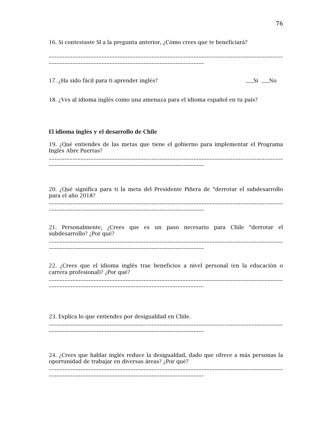16. Si contestaste SI a la pregunta anterior, ¿Cómo crees que te beneficiará?

\_\_\_\_\_\_\_\_\_\_\_\_\_\_\_\_\_\_\_\_\_\_\_\_\_\_\_\_\_\_\_\_\_\_\_\_\_\_\_\_\_\_\_\_\_\_\_\_\_\_\_\_\_\_\_\_\_\_\_

17. ¿Ha sido fácil para ti aprender inglés? \_\_\_Si \_\_\_No

18. ¿Ves al idioma inglés como una amenaza para el idioma español en tu país?

## El idioma inglés y el desarrollo de Chile

19. ¿Qué entiendes de las metas que tiene el gobierno para implementar el Programa Inglés Abre Puertas? \_\_\_\_\_\_\_\_\_\_\_\_\_\_\_\_\_\_\_\_\_\_\_\_\_\_\_\_\_\_\_\_\_\_\_\_\_\_\_\_\_\_\_\_\_\_\_\_\_\_\_\_\_\_\_\_\_\_\_\_\_\_\_\_\_\_\_\_\_\_\_\_\_\_\_\_\_\_\_\_\_\_\_\_\_\_\_\_\_

20. ¿Qué significa para ti la meta del Presidente Piñera de "derrotar el subdesarrollo para el año 2018?

\_\_\_\_\_\_\_\_\_\_\_\_\_\_\_\_\_\_\_\_\_\_\_\_\_\_\_\_\_\_\_\_\_\_\_\_\_\_\_\_\_\_\_\_\_\_\_\_\_\_\_\_\_\_\_\_\_\_\_\_\_\_\_\_\_\_\_\_\_\_\_\_\_\_\_\_\_\_\_\_\_\_\_\_\_\_\_\_\_ \_\_\_\_\_\_\_\_\_\_\_\_\_\_\_\_\_\_\_\_\_\_\_\_\_\_\_\_\_\_\_\_\_\_\_\_\_\_\_\_\_\_\_\_\_\_\_\_\_\_\_\_\_\_\_\_\_\_\_

\_\_\_\_\_\_\_\_\_\_\_\_\_\_\_\_\_\_\_\_\_\_\_\_\_\_\_\_\_\_\_\_\_\_\_\_\_\_\_\_\_\_\_\_\_\_\_\_\_\_\_\_\_\_\_\_\_\_\_

21. Personalmente, ¿Crees que es un paso necesario para Chile "derrotar el subdesarrollo? ¿Por qué?

\_\_\_\_\_\_\_\_\_\_\_\_\_\_\_\_\_\_\_\_\_\_\_\_\_\_\_\_\_\_\_\_\_\_\_\_\_\_\_\_\_\_\_\_\_\_\_\_\_\_\_\_\_\_\_\_\_\_\_\_\_\_\_\_\_\_\_\_\_\_\_\_\_\_\_\_\_\_\_\_\_\_\_\_\_\_\_\_\_ \_\_\_\_\_\_\_\_\_\_\_\_\_\_\_\_\_\_\_\_\_\_\_\_\_\_\_\_\_\_\_\_\_\_\_\_\_\_\_\_\_\_\_\_\_\_\_\_\_\_\_\_\_\_\_\_\_\_\_

22. ¿Crees que el idioma inglés trae beneficios a nivel personal (en la educación o carrera profesional)? ¿Por qué?

\_\_\_\_\_\_\_\_\_\_\_\_\_\_\_\_\_\_\_\_\_\_\_\_\_\_\_\_\_\_\_\_\_\_\_\_\_\_\_\_\_\_\_\_\_\_\_\_\_\_\_\_\_\_\_\_\_\_\_\_\_\_\_\_\_\_\_\_\_\_\_\_\_\_\_\_\_\_\_\_\_\_\_\_\_\_\_\_\_ \_\_\_\_\_\_\_\_\_\_\_\_\_\_\_\_\_\_\_\_\_\_\_\_\_\_\_\_\_\_\_\_\_\_\_\_\_\_\_\_\_\_\_\_\_\_\_\_\_\_\_\_\_\_\_\_\_\_\_

23. Explica lo que entiendes por desigualdad en Chile.

\_\_\_\_\_\_\_\_\_\_\_\_\_\_\_\_\_\_\_\_\_\_\_\_\_\_\_\_\_\_\_\_\_\_\_\_\_\_\_\_\_\_\_\_\_\_\_\_\_\_\_\_\_\_\_\_\_\_\_\_\_\_\_\_\_\_\_\_\_\_\_\_\_\_\_\_\_\_\_\_\_\_\_\_\_\_\_\_\_

\_\_\_\_\_\_\_\_\_\_\_\_\_\_\_\_\_\_\_\_\_\_\_\_\_\_\_\_\_\_\_\_\_\_\_\_\_\_\_\_\_\_\_\_\_\_\_\_\_\_\_\_\_\_\_\_\_\_\_

24. ¿Crees que hablar inglés reduce la desigualdad, dado que ofrece a más personas la oportunidad de trabajar en diversas áreas? ¿Por qué?

\_\_\_\_\_\_\_\_\_\_\_\_\_\_\_\_\_\_\_\_\_\_\_\_\_\_\_\_\_\_\_\_\_\_\_\_\_\_\_\_\_\_\_\_\_\_\_\_\_\_\_\_\_\_\_\_\_\_\_\_\_\_\_\_\_\_\_\_\_\_\_\_\_\_\_\_\_\_\_\_\_\_\_\_\_\_\_\_\_

\_\_\_\_\_\_\_\_\_\_\_\_\_\_\_\_\_\_\_\_\_\_\_\_\_\_\_\_\_\_\_\_\_\_\_\_\_\_\_\_\_\_\_\_\_\_\_\_\_\_\_\_\_\_\_\_\_\_\_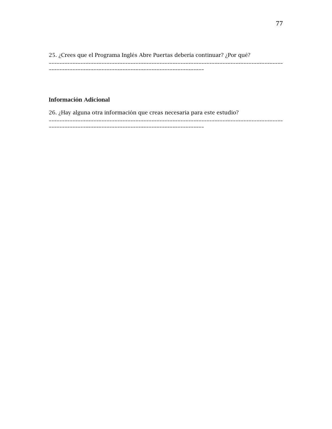25. ¿Crees que el Programa Inglés Abre Puertas debería continuar? ¿Por qué? \_\_\_\_\_\_\_\_\_\_\_\_\_\_\_\_\_\_\_\_\_\_\_\_\_\_\_\_\_\_\_\_\_\_\_\_\_\_\_\_\_\_\_\_\_\_\_\_\_\_\_\_\_\_\_\_\_\_\_\_\_\_\_\_\_\_\_\_\_\_\_\_\_\_\_\_\_\_\_\_\_\_\_\_\_\_\_\_\_

\_\_\_\_\_\_\_\_\_\_\_\_\_\_\_\_\_\_\_\_\_\_\_\_\_\_\_\_\_\_\_\_\_\_\_\_\_\_\_\_\_\_\_\_\_\_\_\_\_\_\_\_\_\_\_\_\_\_\_

## Información Adicional

26. ¿Hay alguna otra información que creas necesaria para este estudio?

\_\_\_\_\_\_\_\_\_\_\_\_\_\_\_\_\_\_\_\_\_\_\_\_\_\_\_\_\_\_\_\_\_\_\_\_\_\_\_\_\_\_\_\_\_\_\_\_\_\_\_\_\_\_\_\_\_\_\_\_\_\_\_\_\_\_\_\_\_\_\_\_\_\_\_\_\_\_\_\_\_\_\_\_\_\_\_\_\_ \_\_\_\_\_\_\_\_\_\_\_\_\_\_\_\_\_\_\_\_\_\_\_\_\_\_\_\_\_\_\_\_\_\_\_\_\_\_\_\_\_\_\_\_\_\_\_\_\_\_\_\_\_\_\_\_\_\_\_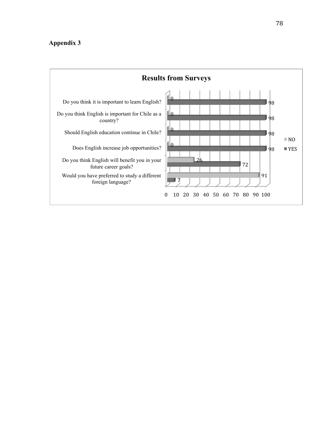# **Appendix 3**

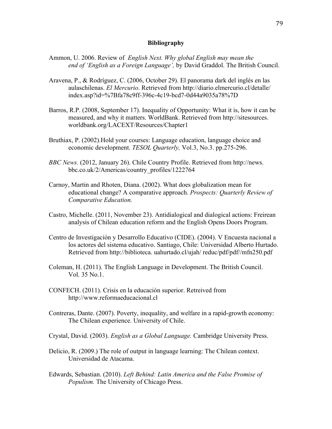## **Bibliography**

- Ammon, U. 2006. Review of *English Next. Why global English may mean the end of 'English as a Foreign Language',* by David Graddol. The British Council.
- Aravena, P., & Rodríguez, C. (2006, October 29). El panorama dark del inglés en las aulaschilenas. *El Mercurio*. Retrieved from http://diario.elmercurio.cl/detalle/ index.asp?id=%7Bfa78c9ff-396c-4c19-bcd7-0d44a9035a78%7D
- Barros, R.P. (2008, September 17). Inequality of Opportunity: What it is, how it can be measured, and why it matters. WorldBank. Retrieved from http://sitesources. worldbank.org/LACEXT/Resources/Chapter1
- Bruthiax, P. (2002).Hold your courses: Language education, language choice and economic development. *TESOL Quarterly,* Vol.3, No.3. pp.275-296.
- *BBC News.* (2012, January 26). Chile Country Profile. Retrieved from http://news. bbc.co.uk/2/Americas/country\_profiles/1222764
- Carnoy, Martin and Rhoten, Diana. (2002). What does globalization mean for educational change? A comparative approach. *Prospects: Quarterly Review of Comparative Education.*
- Castro, Michelle. (2011, November 23). Antidialogical and dialogical actions: Freirean analysis of Chilean education reform and the English Opens Doors Program.
- Centro de Investigación y Desarrollo Educativo (CIDE). (2004). V Encuesta nacional a los actores del sistema educativo. Santiago, Chile: Universidad Alberto Hurtado. Retrieved from http://biblioteca. uahurtado.cl/ujah/ reduc/pdf/pdf//mfn250.pdf
- Coleman, H. (2011). The English Language in Development. The British Council. Vol. 35 No.1.
- CONFECH. (2011). Crisis en la educación superior. Retreived from http://www.reformaeducacional.cl
- Contreras, Dante. (2007). Poverty, inequality, and welfare in a rapid-growth economy: The Chilean experience. University of Chile.
- Crystal, David. (2003). *English as a Global Language.* Cambridge University Press.
- Delicio, R. (2009.) The role of output in language learning: The Chilean context. Universidad de Atacama.
- Edwards, Sebastian. (2010). *Left Behind: Latin America and the False Promise of Populism.* The University of Chicago Press.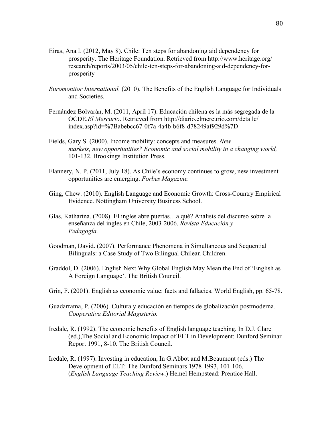- Eiras, Ana I. (2012, May 8). Chile: Ten steps for abandoning aid dependency for prosperity. The Heritage Foundation. Retrieved from http://www.heritage.org/ research/reports/2003/05/chile-ten-steps-for-abandoning-aid-dependency-forprosperity
- *Euromonitor International.* (2010). The Benefits of the English Language for Individuals and Societies.
- Fernández Bolvarán, M. (2011, April 17). Educación chilena es la más segregada de la OCDE.*El Mercurio*. Retrieved from http://diario.elmercurio.com/detalle/ index.asp?id=%7Babebcc67-0f7a-4a4b-b6f8-d78249af929d%7D
- Fields, Gary S. (2000). Income mobility: concepts and measures. *New markets, new opportunities? Economic and social mobility in a changing world,* 101-132. Brookings Institution Press.
- Flannery, N. P. (2011, July 18). As Chile's economy continues to grow, new investment opportunities are emerging. *Forbes Magazine.*
- Ging, Chew. (2010). English Language and Economic Growth: Cross-Country Empirical Evidence. Nottingham University Business School.
- Glas, Katharina. (2008). El ingles abre puertas…a qué? Análisis del discurso sobre la enseñanza del ingles en Chile, 2003-2006. *Revista Educación y Pedagogía.*
- Goodman, David. (2007). Performance Phenomena in Simultaneous and Sequential Bilinguals: a Case Study of Two Bilingual Chilean Children.
- Graddol, D. (2006). English Next Why Global English May Mean the End of 'English as A Foreign Language'. The British Council.
- Grin, F. (2001). English as economic value: facts and fallacies. World English, pp. 65-78.
- Guadarrama, P. (2006). Cultura y educación en tiempos de globalización postmoderna*. Cooperativa Editorial Magisterio.*
- Iredale, R. (1992). The economic benefits of English language teaching. In D.J. Clare (ed.),The Social and Economic Impact of ELT in Development: Dunford Seminar Report 1991, 8-10. The British Council.
- Iredale, R. (1997). Investing in education, In G.Abbot and M.Beaumont (eds.) The Development of ELT: The Dunford Seminars 1978-1993, 101-106. (*English Language Teaching Review*.) Hemel Hempstead: Prentice Hall.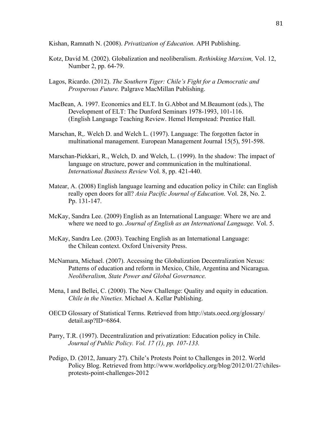Kishan, Ramnath N. (2008). *Privatization of Education.* APH Publishing.

- Kotz, David M. (2002). Globalization and neoliberalism. *Rethinking Marxism,* Vol. 12, Number 2, pp. 64-79.
- Lagos, Ricardo. (2012). *The Southern Tiger: Chile's Fight for a Democratic and Prosperous Future.* Palgrave MacMillan Publishing.
- MacBean, A. 1997. Economics and ELT. In G.Abbot and M.Beaumont (eds.), The Development of ELT: The Dunford Seminars 1978-1993, 101-116. (English Language Teaching Review. Hemel Hempstead: Prentice Hall.
- Marschan, R,. Welch D. and Welch L. (1997). Language: The forgotten factor in multinational management. European Management Journal 15(5), 591-598.
- Marschan-Piekkari, R., Welch, D. and Welch, L. (1999). In the shadow: The impact of language on structure, power and communication in the multinational. *International Business Review* Vol. 8, pp. 421-440.
- Matear, A. (2008) English language learning and education policy in Chile: can English really open doors for all? *Asia Pacific Journal of Education.* Vol. 28, No. 2. Pp. 131-147.
- McKay, Sandra Lee. (2009) English as an International Language: Where we are and where we need to go. *Journal of English as an International Language.* Vol. 5.
- McKay, Sandra Lee. (2003). Teaching English as an International Language: the Chilean context. Oxford University Press.
- McNamara, Michael. (2007). Accessing the Globalization Decentralization Nexus: Patterns of education and reform in Mexico, Chile, Argentina and Nicaragua. *Neoliberalism, State Power and Global Governance.*
- Mena, I and Bellei, C. (2000). The New Challenge: Quality and equity in education. *Chile in the Nineties.* Michael A. Kellar Publishing.
- OECD Glossary of Statistical Terms. Retrieved from http://stats.oecd.org/glossary/ detail.asp?ID=6864.
- Parry, T.R. (1997). Decentralization and privatization: Education policy in Chile. *Journal of Public Policy. Vol. 17 (1), pp. 107-133.*
- Pedigo, D. (2012, January 27). Chile's Protests Point to Challenges in 2012. World Policy Blog. Retrieved from http://www.worldpolicy.org/blog/2012/01/27/chilesprotests-point-challenges-2012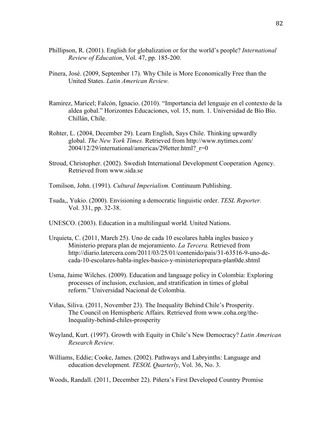- Phillipson, R. (2001). English for globalization or for the world's people? *International Review of Education*, Vol. 47, pp. 185-200.
- Pinera, José. (2009, September 17). Why Chile is More Economically Free than the United States. *Latin American Review.*
- Ramirez, Maricel; Falcón, Ignacio. (2010). "Importancia del lenguaje en el contexto de la aldea gobal." Horizontes Educaciones, vol. 15, num. 1. Universidad de Bío Bío. Chillán, Chile.
- Rohter, L. (2004, December 29). Learn English, Says Chile. Thinking upwardly global. *The New York Times.* Retrieved from http://www.nytimes.com/  $2004/12/29$ /international/americas/29letter.html? $r=0$
- Stroud, Christopher. (2002). Swedish International Development Cooperation Agency. Retrieved from www.sida.se
- Tomilson, John. (1991). *Cultural Imperialism.* Continuum Publishing.
- Tsuda,, Yukio. (2000). Envisioning a democratic linguistic order. *TESL Reporter.*  Vol. 331, pp. 32-38.
- UNESCO. (2003). Education in a multilingual world. United Nations.
- Urquieta, C. (2011, March 25). Uno de cada 10 escolares habla ingles basico y Ministerio prepara plan de mejoramiento. *La Tercera.* Retrieved from http://diario.latercera.com/2011/03/25/01/contenido/pais/31-63516-9-uno-decada-10-escolares-habla-ingles-basico-y-ministerioprepara-plan0de.shtml
- Usma, Jaime Wilches. (2009). Education and language policy in Colombia: Exploring processes of inclusion, exclusion, and stratification in times of global reform." Universidad Nacional de Colombia.
- Viñas, Siliva. (2011, November 23). The Inequality Behind Chile's Prosperity. The Council on Hemispheric Affairs. Retrieved from www.coha.org/the-Inequality-behind-chiles-prosperity
- Weyland, Kurt. (1997). Growth with Equity in Chile's New Democracy? *Latin American Research Review.*
- Williams, Eddie; Cooke, James. (2002). Pathways and Labryinths: Language and education development. *TESOL Quarterly*, Vol. 36, No. 3.

Woods, Randall. (2011, December 22). Piñera's First Developed Country Promise